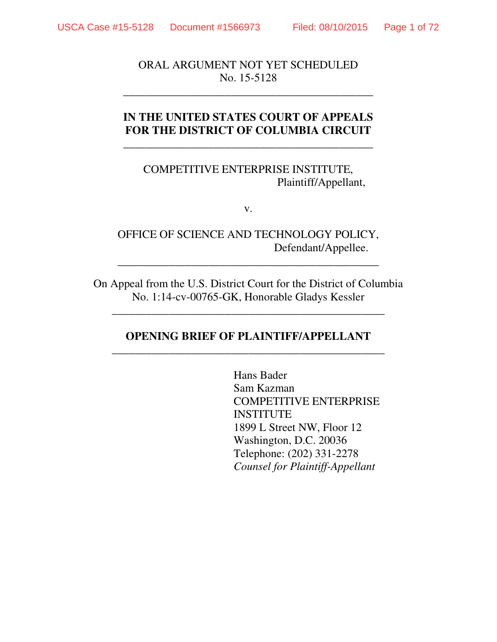ORAL ARGUMENT NOT YET SCHEDULED No. 15-5128

**\_\_\_\_\_\_\_\_\_\_\_\_\_\_\_\_\_\_\_\_\_\_\_\_\_\_\_\_\_\_\_\_\_\_\_\_\_\_\_\_\_\_\_\_** 

### **IN THE UNITED STATES COURT OF APPEALS FOR THE DISTRICT OF COLUMBIA CIRCUIT**

\_\_\_\_\_\_\_\_\_\_\_\_\_\_\_\_\_\_\_\_\_\_\_\_\_\_\_\_\_\_\_\_\_\_\_\_\_\_\_\_\_\_\_\_

COMPETITIVE ENTERPRISE INSTITUTE, Plaintiff/Appellant,

v.

OFFICE OF SCIENCE AND TECHNOLOGY POLICY, Defendant/Appellee.

**\_\_\_\_\_\_\_\_\_\_\_\_\_\_\_\_\_\_\_\_\_\_\_\_\_\_\_\_\_\_\_\_\_\_\_\_\_\_\_\_\_\_\_\_\_\_** 

On Appeal from the U.S. District Court for the District of Columbia No. 1:14-cv-00765-GK, Honorable Gladys Kessler

\_\_\_\_\_\_\_\_\_\_\_\_\_\_\_\_\_\_\_\_\_\_\_\_\_\_\_\_\_\_\_\_\_\_\_\_\_\_\_\_\_\_\_\_\_\_\_\_

#### **OPENING BRIEF OF PLAINTIFF/APPELLANT**  \_\_\_\_\_\_\_\_\_\_\_\_\_\_\_\_\_\_\_\_\_\_\_\_\_\_\_\_\_\_\_\_\_\_\_\_\_\_\_\_\_\_\_\_\_\_\_\_

Hans Bader Sam Kazman COMPETITIVE ENTERPRISE INSTITUTE 1899 L Street NW, Floor 12 Washington, D.C. 20036 Telephone: (202) 331-2278 *Counsel for Plaintiff-Appellant*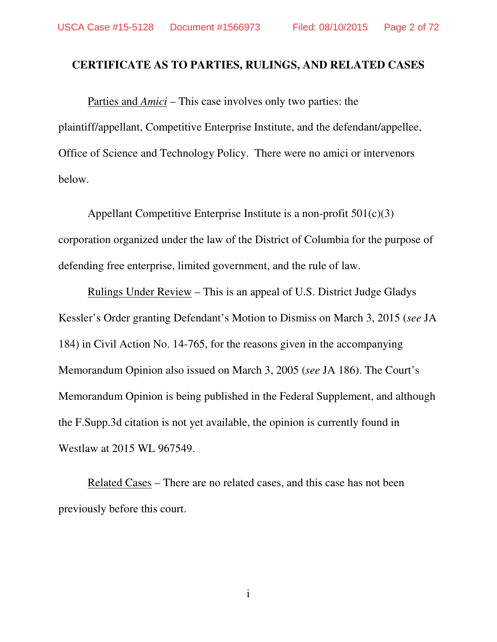#### **CERTIFICATE AS TO PARTIES, RULINGS, AND RELATED CASES**

 Parties and *Amici* – This case involves only two parties: the plaintiff/appellant, Competitive Enterprise Institute, and the defendant/appellee, Office of Science and Technology Policy. There were no amici or intervenors below.

 Appellant Competitive Enterprise Institute is a non-profit 501(c)(3) corporation organized under the law of the District of Columbia for the purpose of defending free enterprise, limited government, and the rule of law.

 Rulings Under Review – This is an appeal of U.S. District Judge Gladys Kessler's Order granting Defendant's Motion to Dismiss on March 3, 2015 (*see* JA 184) in Civil Action No. 14-765, for the reasons given in the accompanying Memorandum Opinion also issued on March 3, 2005 (*see* JA 186). The Court's Memorandum Opinion is being published in the Federal Supplement, and although the F.Supp.3d citation is not yet available, the opinion is currently found in Westlaw at 2015 WL 967549.

 Related Cases – There are no related cases, and this case has not been previously before this court.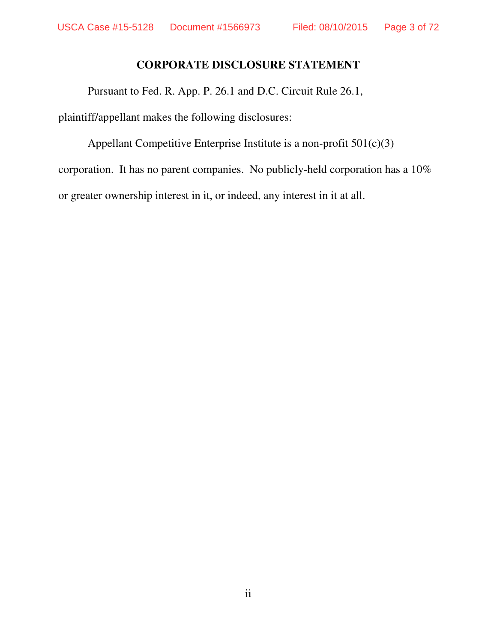#### **CORPORATE DISCLOSURE STATEMENT**

Pursuant to Fed. R. App. P. 26.1 and D.C. Circuit Rule 26.1,

plaintiff/appellant makes the following disclosures:

Appellant Competitive Enterprise Institute is a non-profit 501(c)(3) corporation. It has no parent companies. No publicly-held corporation has a 10% or greater ownership interest in it, or indeed, any interest in it at all.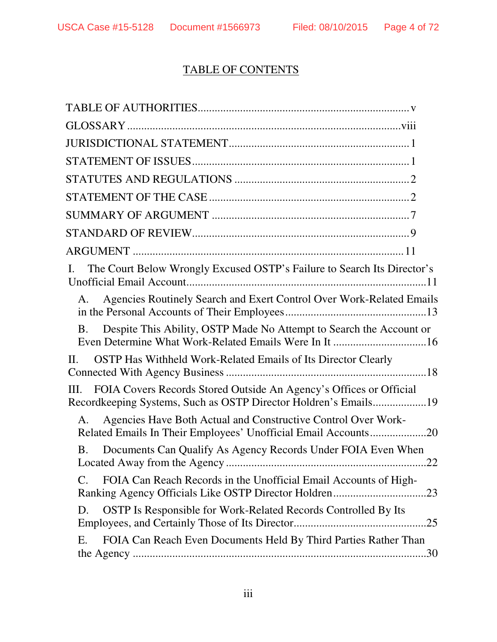# TABLE OF CONTENTS

| The Court Below Wrongly Excused OSTP's Failure to Search Its Director's<br>Ι.                                                                 |
|-----------------------------------------------------------------------------------------------------------------------------------------------|
| Agencies Routinely Search and Exert Control Over Work-Related Emails<br>А.                                                                    |
| Despite This Ability, OSTP Made No Attempt to Search the Account or<br><b>B.</b>                                                              |
| OSTP Has Withheld Work-Related Emails of Its Director Clearly<br>$\Pi$ .                                                                      |
| FOIA Covers Records Stored Outside An Agency's Offices or Official<br>III.<br>Recordkeeping Systems, Such as OSTP Director Holdren's Emails19 |
| Agencies Have Both Actual and Constructive Control Over Work-<br>A.<br>Related Emails In Their Employees' Unofficial Email Accounts20         |
| Documents Can Qualify As Agency Records Under FOIA Even When<br><b>B.</b><br>22                                                               |
| FOIA Can Reach Records in the Unofficial Email Accounts of High-<br>$\mathcal{C}$ .                                                           |
| OSTP Is Responsible for Work-Related Records Controlled By Its<br>D.                                                                          |
| FOIA Can Reach Even Documents Held By Third Parties Rather Than<br>Е.<br>.30                                                                  |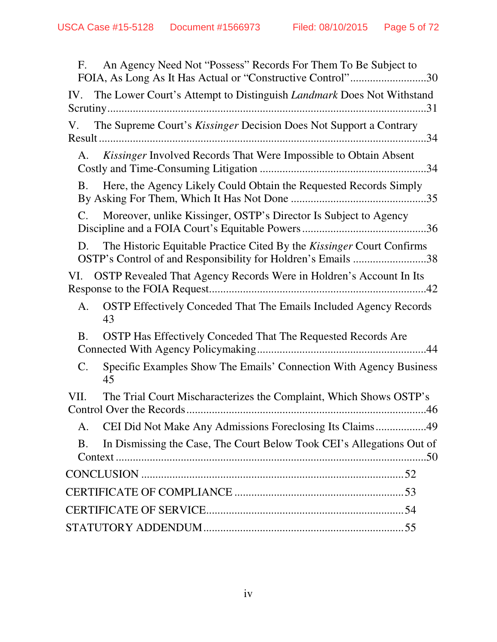| An Agency Need Not "Possess" Records For Them To Be Subject to<br>F.<br>FOIA, As Long As It Has Actual or "Constructive Control"30          |  |
|---------------------------------------------------------------------------------------------------------------------------------------------|--|
| IV. The Lower Court's Attempt to Distinguish <i>Landmark</i> Does Not Withstand                                                             |  |
| The Supreme Court's Kissinger Decision Does Not Support a Contrary<br>V.                                                                    |  |
| Kissinger Involved Records That Were Impossible to Obtain Absent<br>А.                                                                      |  |
| Here, the Agency Likely Could Obtain the Requested Records Simply<br><b>B.</b>                                                              |  |
| Moreover, unlike Kissinger, OSTP's Director Is Subject to Agency<br>$C_{\cdot}$                                                             |  |
| The Historic Equitable Practice Cited By the Kissinger Court Confirms<br>D.<br>OSTP's Control of and Responsibility for Holdren's Emails 38 |  |
| VI. OSTP Revealed That Agency Records Were in Holdren's Account In Its                                                                      |  |
| <b>OSTP</b> Effectively Conceded That The Emails Included Agency Records<br>A.<br>43                                                        |  |
| OSTP Has Effectively Conceded That The Requested Records Are<br><b>B.</b>                                                                   |  |
| Specific Examples Show The Emails' Connection With Agency Business<br>$\mathsf{C}.$<br>45                                                   |  |
| VII.<br>The Trial Court Mischaracterizes the Complaint, Which Shows OSTP's                                                                  |  |
| CEI Did Not Make Any Admissions Foreclosing Its Claims49<br>A.                                                                              |  |
| In Dismissing the Case, The Court Below Took CEI's Allegations Out of<br><b>B.</b><br>50                                                    |  |
|                                                                                                                                             |  |
|                                                                                                                                             |  |
|                                                                                                                                             |  |
|                                                                                                                                             |  |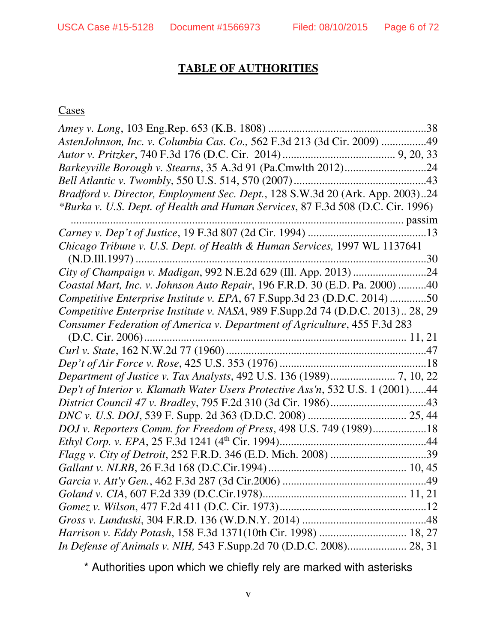# **TABLE OF AUTHORITIES**

#### **Cases**

| AstenJohnson, Inc. v. Columbia Cas. Co., 562 F.3d 213 (3d Cir. 2009) 49         |
|---------------------------------------------------------------------------------|
|                                                                                 |
|                                                                                 |
|                                                                                 |
| Bradford v. Director, Employment Sec. Dept., 128 S.W.3d 20 (Ark. App. 2003)24   |
| *Burka v. U.S. Dept. of Health and Human Services, 87 F.3d 508 (D.C. Cir. 1996) |
|                                                                                 |
|                                                                                 |
| Chicago Tribune v. U.S. Dept. of Health & Human Services, 1997 WL 1137641       |
|                                                                                 |
| City of Champaign v. Madigan, 992 N.E.2d 629 (Ill. App. 2013) 24                |
| Coastal Mart, Inc. v. Johnson Auto Repair, 196 F.R.D. 30 (E.D. Pa. 2000) 40     |
| Competitive Enterprise Institute v. EPA, 67 F.Supp.3d 23 (D.D.C. 2014)50        |
| Competitive Enterprise Institute v. NASA, 989 F.Supp.2d 74 (D.D.C. 2013) 28, 29 |
| Consumer Federation of America v. Department of Agriculture, 455 F.3d 283       |
|                                                                                 |
|                                                                                 |
|                                                                                 |
| Department of Justice v. Tax Analysts, 492 U.S. 136 (1989) 7, 10, 22            |
| Dep't of Interior v. Klamath Water Users Protective Ass'n, 532 U.S. 1 (2001)44  |
|                                                                                 |
|                                                                                 |
| DOJ v. Reporters Comm. for Freedom of Press, 498 U.S. 749 (1989)18              |
|                                                                                 |
|                                                                                 |
|                                                                                 |
|                                                                                 |
|                                                                                 |
|                                                                                 |
|                                                                                 |
| Harrison v. Eddy Potash, 158 F.3d 1371(10th Cir. 1998)  18, 27                  |
| In Defense of Animals v. NIH, 543 F.Supp.2d 70 (D.D.C. 2008) 28, 31             |

\* Authorities upon which we chiefly rely are marked with asterisks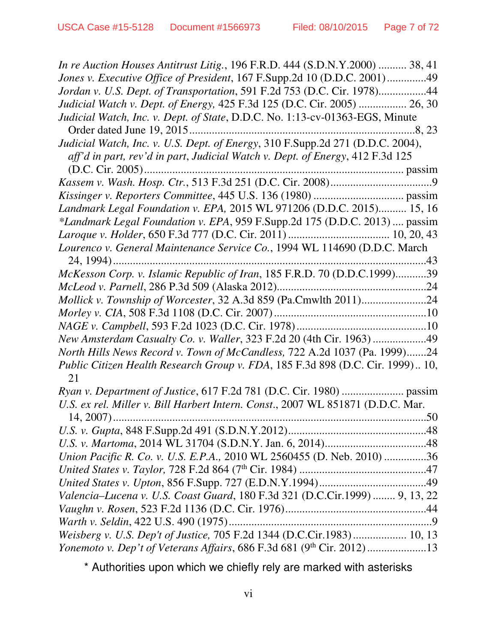| In re Auction Houses Antitrust Litig., 196 F.R.D. 444 (S.D.N.Y.2000)  38, 41    |
|---------------------------------------------------------------------------------|
| Jones v. Executive Office of President, 167 F.Supp.2d 10 (D.D.C. 2001)49        |
| Jordan v. U.S. Dept. of Transportation, 591 F.2d 753 (D.C. Cir. 1978)44         |
| Judicial Watch v. Dept. of Energy, 425 F.3d 125 (D.C. Cir. 2005)  26, 30        |
| Judicial Watch, Inc. v. Dept. of State, D.D.C. No. 1:13-cv-01363-EGS, Minute    |
|                                                                                 |
| Judicial Watch, Inc. v. U.S. Dept. of Energy, 310 F.Supp.2d 271 (D.D.C. 2004),  |
| aff'd in part, rev'd in part, Judicial Watch v. Dept. of Energy, 412 F.3d 125   |
|                                                                                 |
|                                                                                 |
|                                                                                 |
| Landmark Legal Foundation v. EPA, 2015 WL 971206 (D.D.C. 2015) 15, 16           |
| *Landmark Legal Foundation v. EPA, 959 F.Supp.2d 175 (D.D.C. 2013)  passim      |
|                                                                                 |
| Lourenco v. General Maintenance Service Co., 1994 WL 114690 (D.D.C. March       |
|                                                                                 |
| McKesson Corp. v. Islamic Republic of Iran, 185 F.R.D. 70 (D.D.C.1999)39        |
|                                                                                 |
| Mollick v. Township of Worcester, 32 A.3d 859 (Pa.Cmwlth 2011)24                |
|                                                                                 |
|                                                                                 |
| New Amsterdam Casualty Co. v. Waller, 323 F.2d 20 (4th Cir. 1963) 49            |
| North Hills News Record v. Town of McCandless, 722 A.2d 1037 (Pa. 1999)24       |
| Public Citizen Health Research Group v. FDA, 185 F.3d 898 (D.C. Cir. 1999) 10,  |
| 21                                                                              |
|                                                                                 |
| U.S. ex rel. Miller v. Bill Harbert Intern. Const., 2007 WL 851871 (D.D.C. Mar. |
|                                                                                 |
|                                                                                 |
|                                                                                 |
| Union Pacific R. Co. v. U.S. E.P.A., 2010 WL 2560455 (D. Neb. 2010) 36          |
|                                                                                 |
|                                                                                 |
| Valencia-Lucena v. U.S. Coast Guard, 180 F.3d 321 (D.C.Cir.1999)  9, 13, 22     |
|                                                                                 |
|                                                                                 |
| Weisberg v. U.S. Dep't of Justice, 705 F.2d 1344 (D.C.Cir.1983) 10, 13          |
|                                                                                 |

\* Authorities upon which we chiefly rely are marked with asterisks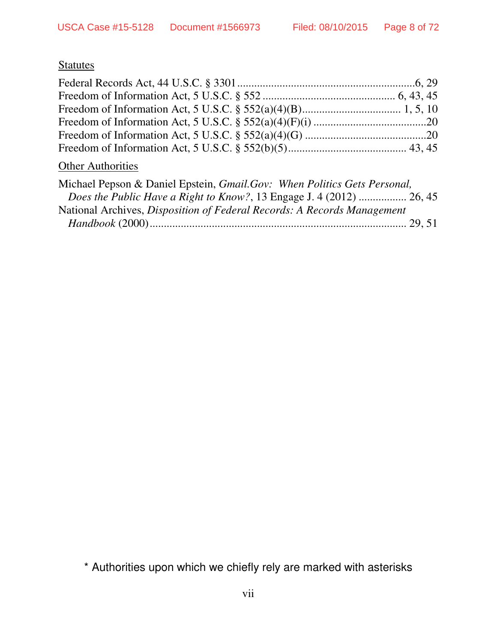# **Statutes**

| <b>Other Authorities</b>                                                 |  |
|--------------------------------------------------------------------------|--|
| Michael Pepson & Daniel Epstein, Gmail.Gov: When Politics Gets Personal, |  |
| Does the Public Have a Right to Know?, 13 Engage J. 4 (2012)  26, 45     |  |
| National Archives, Disposition of Federal Records: A Records Management  |  |
|                                                                          |  |

\* Authorities upon which we chiefly rely are marked with asterisks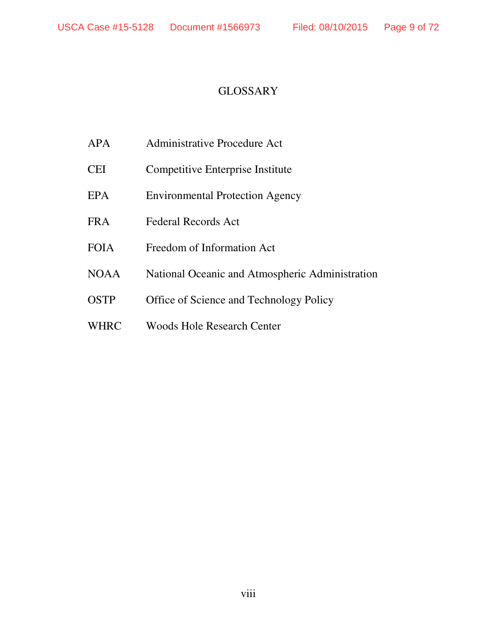#### **GLOSSARY**

- APA Administrative Procedure Act
- CEI Competitive Enterprise Institute
- EPA Environmental Protection Agency
- FRA Federal Records Act
- FOIA Freedom of Information Act
- NOAA National Oceanic and Atmospheric Administration
- OSTP Office of Science and Technology Policy
- WHRC Woods Hole Research Center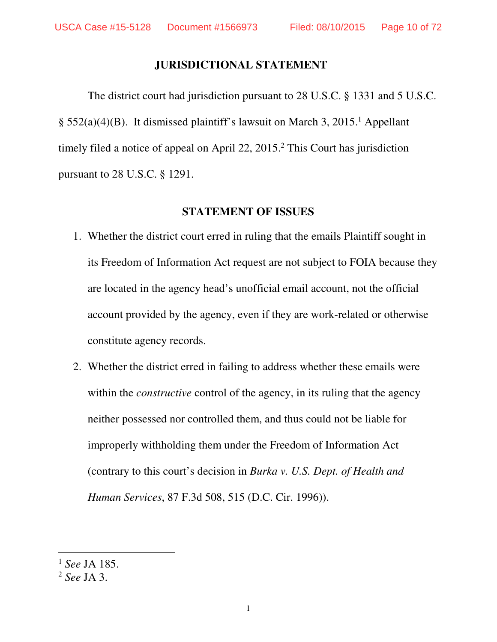#### **JURISDICTIONAL STATEMENT**

The district court had jurisdiction pursuant to 28 U.S.C. § 1331 and 5 U.S.C. § 552(a)(4)(B). It dismissed plaintiff's lawsuit on March 3, 2015.<sup>1</sup> Appellant timely filed a notice of appeal on April 22, 2015.<sup>2</sup> This Court has jurisdiction pursuant to 28 U.S.C. § 1291.

#### **STATEMENT OF ISSUES**

- 1. Whether the district court erred in ruling that the emails Plaintiff sought in its Freedom of Information Act request are not subject to FOIA because they are located in the agency head's unofficial email account, not the official account provided by the agency, even if they are work-related or otherwise constitute agency records.
- 2. Whether the district erred in failing to address whether these emails were within the *constructive* control of the agency, in its ruling that the agency neither possessed nor controlled them, and thus could not be liable for improperly withholding them under the Freedom of Information Act (contrary to this court's decision in *Burka v. U.S. Dept. of Health and Human Services*, 87 F.3d 508, 515 (D.C. Cir. 1996)).

 $\overline{a}$ 

<sup>1</sup> *See* JA 185.

<sup>2</sup> *See* JA 3.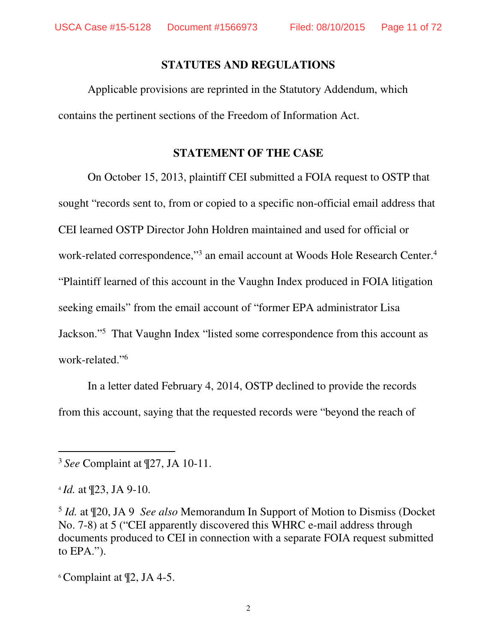#### **STATUTES AND REGULATIONS**

Applicable provisions are reprinted in the Statutory Addendum, which contains the pertinent sections of the Freedom of Information Act.

#### **STATEMENT OF THE CASE**

On October 15, 2013, plaintiff CEI submitted a FOIA request to OSTP that sought "records sent to, from or copied to a specific non-official email address that CEI learned OSTP Director John Holdren maintained and used for official or work-related correspondence,"<sup>3</sup> an email account at Woods Hole Research Center.<sup>4</sup> "Plaintiff learned of this account in the Vaughn Index produced in FOIA litigation seeking emails" from the email account of "former EPA administrator Lisa Jackson."<sup>5</sup> That Vaughn Index "listed some correspondence from this account as work-related."<sup>6</sup>

In a letter dated February 4, 2014, OSTP declined to provide the records from this account, saying that the requested records were "beyond the reach of

<sup>3</sup> *See* Complaint at ¶27, JA 10-11.

<sup>4</sup> *Id.* at ¶23, JA 9-10.

-

<sup>6</sup> Complaint at ¶2, JA 4-5.

<sup>5</sup> *Id.* at ¶20, JA 9 *See also* Memorandum In Support of Motion to Dismiss (Docket No. 7-8) at 5 ("CEI apparently discovered this WHRC e-mail address through documents produced to CEI in connection with a separate FOIA request submitted to EPA.").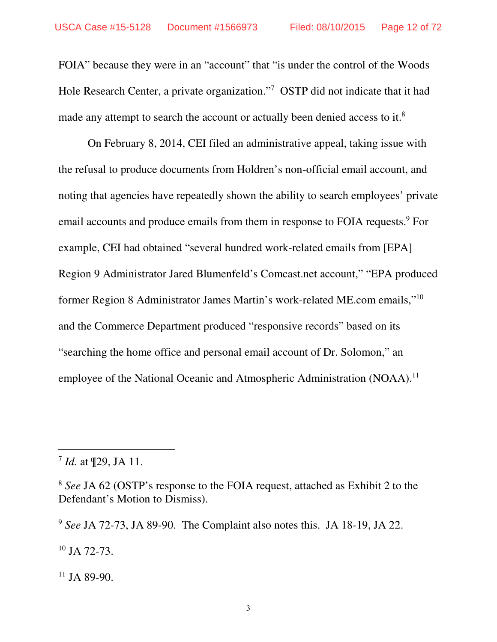FOIA" because they were in an "account" that "is under the control of the Woods Hole Research Center, a private organization."<sup>7</sup> OSTP did not indicate that it had made any attempt to search the account or actually been denied access to it.<sup>8</sup>

On February 8, 2014, CEI filed an administrative appeal, taking issue with the refusal to produce documents from Holdren's non-official email account, and noting that agencies have repeatedly shown the ability to search employees' private email accounts and produce emails from them in response to FOIA requests.<sup>9</sup> For example, CEI had obtained "several hundred work-related emails from [EPA] Region 9 Administrator Jared Blumenfeld's Comcast.net account," "EPA produced former Region 8 Administrator James Martin's work-related ME.com emails,"<sup>10</sup> and the Commerce Department produced "responsive records" based on its "searching the home office and personal email account of Dr. Solomon," an employee of the National Oceanic and Atmospheric Administration (NOAA).<sup>11</sup>

-

<sup>9</sup> *See* JA 72-73, JA 89-90. The Complaint also notes this. JA 18-19, JA 22.

<sup>10</sup> JA 72-73.

 $11$  JA 89-90.

<sup>7</sup> *Id.* at ¶29, JA 11.

<sup>8</sup> *See* JA 62 (OSTP's response to the FOIA request, attached as Exhibit 2 to the Defendant's Motion to Dismiss).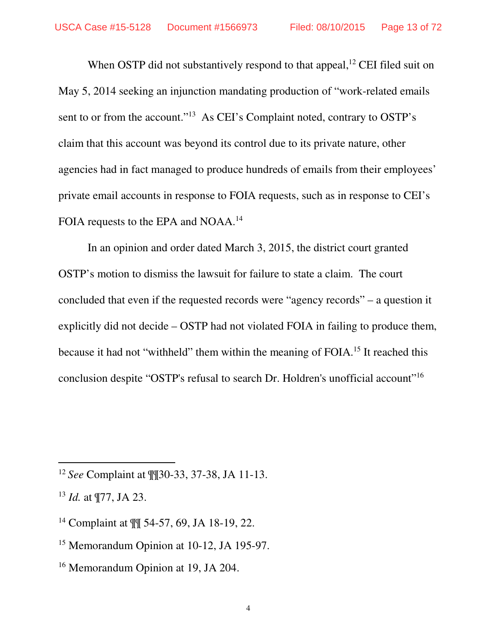When OSTP did not substantively respond to that appeal,  $^{12}$  CEI filed suit on May 5, 2014 seeking an injunction mandating production of "work-related emails sent to or from the account."<sup>13</sup> As CEI's Complaint noted, contrary to OSTP's claim that this account was beyond its control due to its private nature, other agencies had in fact managed to produce hundreds of emails from their employees' private email accounts in response to FOIA requests, such as in response to CEI's FOIA requests to the EPA and NOAA.<sup>14</sup>

In an opinion and order dated March 3, 2015, the district court granted OSTP's motion to dismiss the lawsuit for failure to state a claim. The court concluded that even if the requested records were "agency records" – a question it explicitly did not decide – OSTP had not violated FOIA in failing to produce them, because it had not "withheld" them within the meaning of FOIA.<sup>15</sup> It reached this conclusion despite "OSTP's refusal to search Dr. Holdren's unofficial account"<sup>16</sup>

- <sup>14</sup> Complaint at ¶¶ 54-57, 69, JA 18-19, 22.
- <sup>15</sup> Memorandum Opinion at 10-12, JA 195-97.
- <sup>16</sup> Memorandum Opinion at 19, JA 204.

<sup>12</sup> *See* Complaint at ¶¶30-33, 37-38, JA 11-13.

<sup>13</sup> *Id.* at ¶77, JA 23.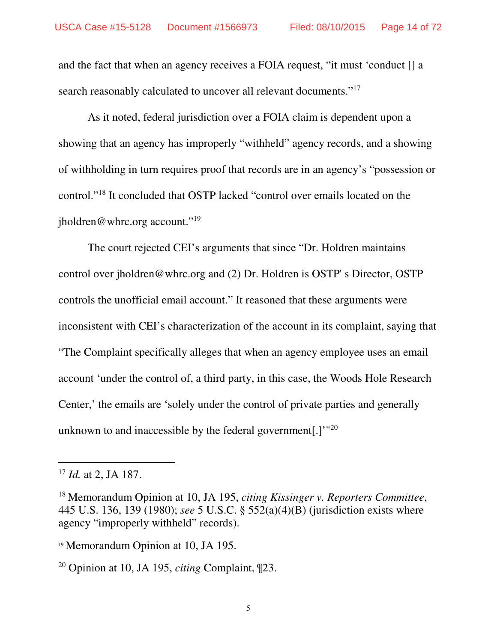and the fact that when an agency receives a FOIA request, "it must 'conduct [] a search reasonably calculated to uncover all relevant documents."<sup>17</sup>

As it noted, federal jurisdiction over a FOIA claim is dependent upon a showing that an agency has improperly "withheld" agency records, and a showing of withholding in turn requires proof that records are in an agency's "possession or control."<sup>18</sup> It concluded that OSTP lacked "control over emails located on the jholdren@whrc.org account."<sup>19</sup>

The court rejected CEI's arguments that since "Dr. Holdren maintains control over jholdren@whrc.org and (2) Dr. Holdren is OSTP' s Director, OSTP controls the unofficial email account." It reasoned that these arguments were inconsistent with CEI's characterization of the account in its complaint, saying that "The Complaint specifically alleges that when an agency employee uses an email account 'under the control of, a third party, in this case, the Woods Hole Research Center,' the emails are 'solely under the control of private parties and generally unknown to and inaccessible by the federal government[.] $^{\prime\prime\prime20}$ 

<sup>17</sup> *Id.* at 2, JA 187.

<sup>18</sup> Memorandum Opinion at 10, JA 195, *citing Kissinger v. Reporters Committee*, 445 U.S. 136, 139 (1980); *see* 5 U.S.C. § 552(a)(4)(B) (jurisdiction exists where agency "improperly withheld" records).

<sup>19</sup> Memorandum Opinion at 10, JA 195.

<sup>20</sup> Opinion at 10, JA 195, *citing* Complaint, ¶23.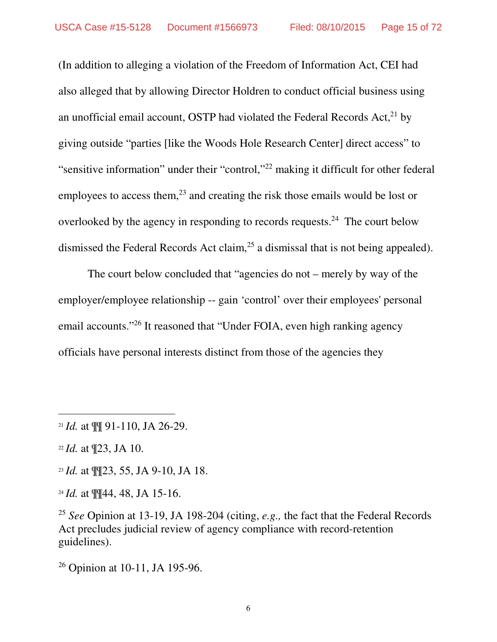(In addition to alleging a violation of the Freedom of Information Act, CEI had also alleged that by allowing Director Holdren to conduct official business using an unofficial email account, OSTP had violated the Federal Records Act, $^{21}$  by giving outside "parties [like the Woods Hole Research Center] direct access" to "sensitive information" under their "control,"<sup>22</sup> making it difficult for other federal employees to access them, $^{23}$  and creating the risk those emails would be lost or overlooked by the agency in responding to records requests.<sup>24</sup> The court below dismissed the Federal Records Act claim,<sup>25</sup> a dismissal that is not being appealed).

 The court below concluded that "agencies do not – merely by way of the employer/employee relationship -- gain 'control' over their employees' personal email accounts."<sup>26</sup> It reasoned that "Under FOIA, even high ranking agency officials have personal interests distinct from those of the agencies they

 $\overline{a}$ 

<sup>23</sup> *Id.* at ¶¶23, 55, JA 9-10, JA 18.

<sup>26</sup> Opinion at 10-11, JA 195-96.

<sup>21</sup> *Id.* at ¶¶ 91-110, JA 26-29.

<sup>22</sup> *Id.* at ¶23, JA 10.

<sup>24</sup> *Id.* at ¶¶44, 48, JA 15-16.

<sup>25</sup> *See* Opinion at 13-19, JA 198-204 (citing, *e.g.,* the fact that the Federal Records Act precludes judicial review of agency compliance with record-retention guidelines).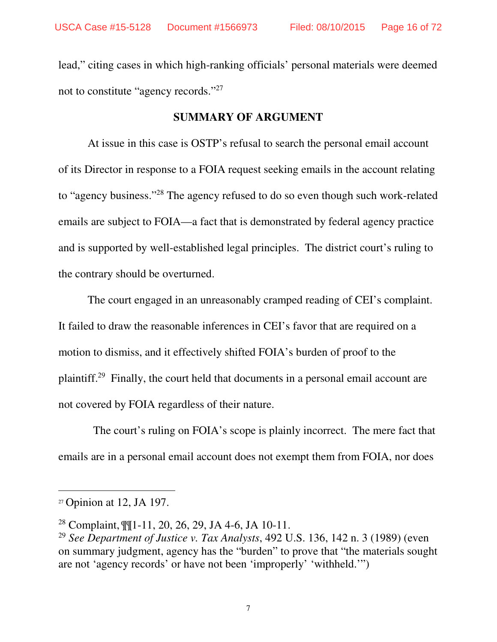lead," citing cases in which high-ranking officials' personal materials were deemed not to constitute "agency records."<sup>27</sup>

#### **SUMMARY OF ARGUMENT**

At issue in this case is OSTP's refusal to search the personal email account of its Director in response to a FOIA request seeking emails in the account relating to "agency business."<sup>28</sup> The agency refused to do so even though such work-related emails are subject to FOIA—a fact that is demonstrated by federal agency practice and is supported by well-established legal principles. The district court's ruling to the contrary should be overturned.

 The court engaged in an unreasonably cramped reading of CEI's complaint. It failed to draw the reasonable inferences in CEI's favor that are required on a motion to dismiss, and it effectively shifted FOIA's burden of proof to the plaintiff.<sup>29</sup> Finally, the court held that documents in a personal email account are not covered by FOIA regardless of their nature.

 The court's ruling on FOIA's scope is plainly incorrect. The mere fact that emails are in a personal email account does not exempt them from FOIA, nor does

 $\overline{a}$ 

 $27$  Opinion at 12, JA 197.

<sup>28</sup> Complaint, ¶¶1-11, 20, 26, 29, JA 4-6, JA 10-11.

<sup>29</sup> *See Department of Justice v. Tax Analysts*, 492 U.S. 136, 142 n. 3 (1989) (even on summary judgment, agency has the "burden" to prove that "the materials sought are not 'agency records' or have not been 'improperly' 'withheld.'")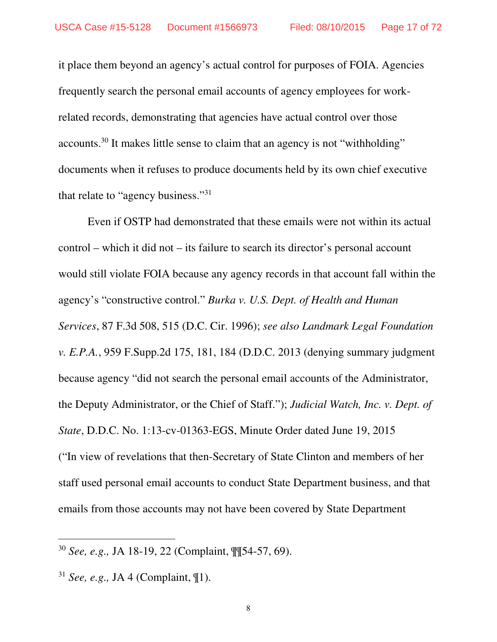it place them beyond an agency's actual control for purposes of FOIA. Agencies frequently search the personal email accounts of agency employees for workrelated records, demonstrating that agencies have actual control over those accounts.<sup>30</sup> It makes little sense to claim that an agency is not "withholding" documents when it refuses to produce documents held by its own chief executive that relate to "agency business."<sup>31</sup>

 Even if OSTP had demonstrated that these emails were not within its actual control – which it did not – its failure to search its director's personal account would still violate FOIA because any agency records in that account fall within the agency's "constructive control." *Burka v. U.S. Dept. of Health and Human Services*, 87 F.3d 508, 515 (D.C. Cir. 1996); *see also Landmark Legal Foundation v. E.P.A.*, 959 F.Supp.2d 175, 181, 184 (D.D.C. 2013 (denying summary judgment because agency "did not search the personal email accounts of the Administrator, the Deputy Administrator, or the Chief of Staff."); *Judicial Watch, Inc. v. Dept. of State*, D.D.C. No. 1:13-cv-01363-EGS, Minute Order dated June 19, 2015 ("In view of revelations that then-Secretary of State Clinton and members of her staff used personal email accounts to conduct State Department business, and that emails from those accounts may not have been covered by State Department

 $\overline{a}$ 

<sup>30</sup> *See, e.g.,* JA 18-19, 22 (Complaint, ¶¶54-57, 69).

<sup>31</sup> *See, e.g.,* JA 4 (Complaint, ¶1).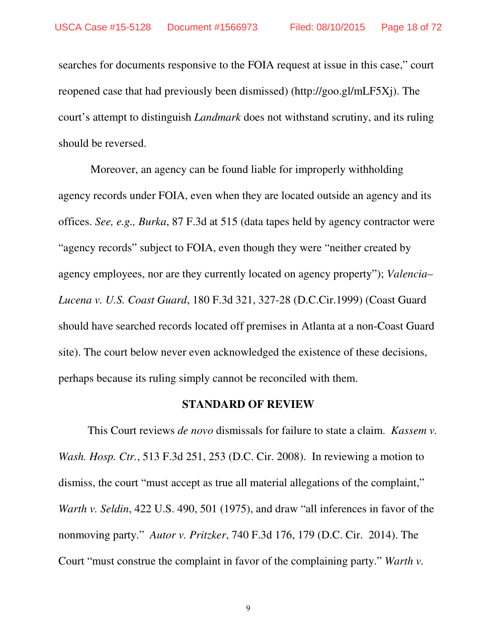searches for documents responsive to the FOIA request at issue in this case," court reopened case that had previously been dismissed) (http://goo.gl/mLF5Xj). The court's attempt to distinguish *Landmark* does not withstand scrutiny, and its ruling should be reversed.

 Moreover, an agency can be found liable for improperly withholding agency records under FOIA, even when they are located outside an agency and its offices. *See, e.g., Burka*, 87 F.3d at 515 (data tapes held by agency contractor were "agency records" subject to FOIA, even though they were "neither created by agency employees, nor are they currently located on agency property"); *Valencia– Lucena v. U.S. Coast Guard*, 180 F.3d 321, 327-28 (D.C.Cir.1999) (Coast Guard should have searched records located off premises in Atlanta at a non-Coast Guard site). The court below never even acknowledged the existence of these decisions, perhaps because its ruling simply cannot be reconciled with them.

#### **STANDARD OF REVIEW**

This Court reviews *de novo* dismissals for failure to state a claim. *Kassem v. Wash. Hosp. Ctr.*, 513 F.3d 251, 253 (D.C. Cir. 2008). In reviewing a motion to dismiss, the court "must accept as true all material allegations of the complaint," *Warth v. Seldin*, 422 U.S. 490, 501 (1975), and draw "all inferences in favor of the nonmoving party." *Autor v. Pritzker*, 740 F.3d 176, 179 (D.C. Cir. 2014). The Court "must construe the complaint in favor of the complaining party." *Warth v.* 

9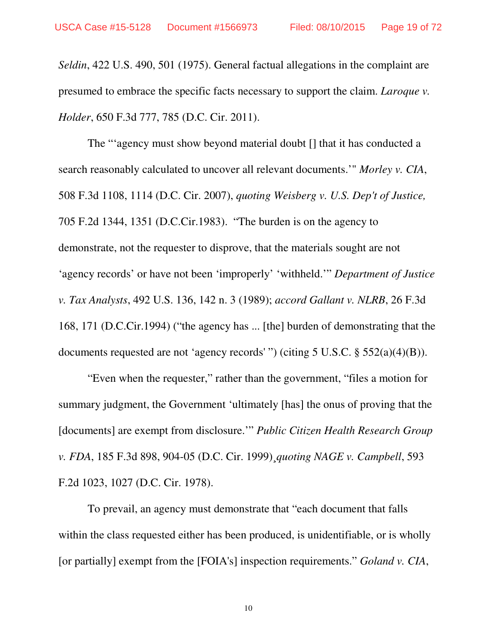*Seldin*, 422 U.S. 490, 501 (1975). General factual allegations in the complaint are presumed to embrace the specific facts necessary to support the claim. *Laroque v. Holder*, 650 F.3d 777, 785 (D.C. Cir. 2011).

The "'agency must show beyond material doubt [] that it has conducted a search reasonably calculated to uncover all relevant documents.'" *Morley v. CIA*, 508 F.3d 1108, 1114 (D.C. Cir. 2007), *quoting Weisberg v. U.S. Dep't of Justice,* 705 F.2d 1344, 1351 (D.C.Cir.1983). "The burden is on the agency to demonstrate, not the requester to disprove, that the materials sought are not 'agency records' or have not been 'improperly' 'withheld.'" *Department of Justice v. Tax Analysts*, 492 U.S. 136, 142 n. 3 (1989); *accord Gallant v. NLRB*, 26 F.3d 168, 171 (D.C.Cir.1994) ("the agency has ... [the] burden of demonstrating that the documents requested are not 'agency records' ") (citing 5 U.S.C. § 552(a)(4)(B)).

"Even when the requester," rather than the government, "files a motion for summary judgment, the Government 'ultimately [has] the onus of proving that the [documents] are exempt from disclosure.'" *Public Citizen Health Research Group v. FDA*, 185 F.3d 898, 904-05 (D.C. Cir. 1999)¸*quoting NAGE v. Campbell*, 593 F.2d 1023, 1027 (D.C. Cir. 1978).

To prevail, an agency must demonstrate that "each document that falls within the class requested either has been produced, is unidentifiable, or is wholly [or partially] exempt from the [FOIA's] inspection requirements." *Goland v. CIA*,

10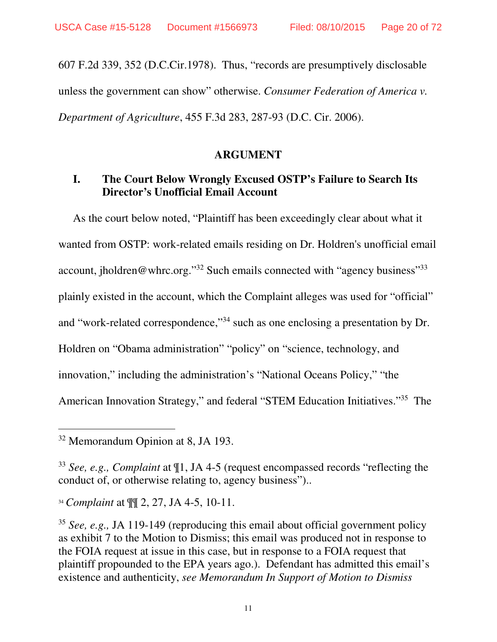607 F.2d 339, 352 (D.C.Cir.1978). Thus, "records are presumptively disclosable unless the government can show" otherwise. *Consumer Federation of America v. Department of Agriculture*, 455 F.3d 283, 287-93 (D.C. Cir. 2006).

#### **ARGUMENT**

#### **I. The Court Below Wrongly Excused OSTP's Failure to Search Its Director's Unofficial Email Account**

As the court below noted, "Plaintiff has been exceedingly clear about what it wanted from OSTP: work-related emails residing on Dr. Holdren's unofficial email account, jholdren@whrc.org."<sup>32</sup> Such emails connected with "agency business"<sup>33</sup> plainly existed in the account, which the Complaint alleges was used for "official" and "work-related correspondence,"<sup>34</sup> such as one enclosing a presentation by Dr. Holdren on "Obama administration" "policy" on "science, technology, and innovation," including the administration's "National Oceans Policy," "the American Innovation Strategy," and federal "STEM Education Initiatives."<sup>35</sup> The

 $\overline{a}$ 

<sup>&</sup>lt;sup>32</sup> Memorandum Opinion at 8, JA 193.

<sup>33</sup> *See, e.g., Complaint* at ¶1, JA 4-5 (request encompassed records "reflecting the conduct of, or otherwise relating to, agency business")..

<sup>34</sup> *Complaint* at ¶¶ 2, 27, JA 4-5, 10-11.

<sup>35</sup> *See, e.g.,* JA 119-149 (reproducing this email about official government policy as exhibit 7 to the Motion to Dismiss; this email was produced not in response to the FOIA request at issue in this case, but in response to a FOIA request that plaintiff propounded to the EPA years ago.). Defendant has admitted this email's existence and authenticity, *see Memorandum In Support of Motion to Dismiss*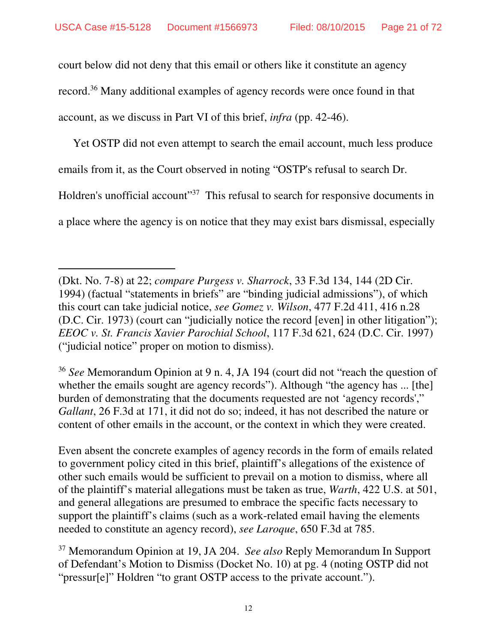court below did not deny that this email or others like it constitute an agency record.<sup>36</sup> Many additional examples of agency records were once found in that account, as we discuss in Part VI of this brief, *infra* (pp. 42-46).

Yet OSTP did not even attempt to search the email account, much less produce emails from it, as the Court observed in noting "OSTP's refusal to search Dr. Holdren's unofficial account"<sup>37</sup> This refusal to search for responsive documents in a place where the agency is on notice that they may exist bars dismissal, especially

-

<sup>36</sup> *See* Memorandum Opinion at 9 n. 4, JA 194 (court did not "reach the question of whether the emails sought are agency records"). Although "the agency has ... [the] burden of demonstrating that the documents requested are not 'agency records'," *Gallant*, 26 F.3d at 171, it did not do so; indeed, it has not described the nature or content of other emails in the account, or the context in which they were created.

Even absent the concrete examples of agency records in the form of emails related to government policy cited in this brief, plaintiff's allegations of the existence of other such emails would be sufficient to prevail on a motion to dismiss, where all of the plaintiff's material allegations must be taken as true, *Warth*, 422 U.S. at 501, and general allegations are presumed to embrace the specific facts necessary to support the plaintiff's claims (such as a work-related email having the elements needed to constitute an agency record), *see Laroque*, 650 F.3d at 785.

<sup>37</sup> Memorandum Opinion at 19, JA 204. *See also* Reply Memorandum In Support of Defendant's Motion to Dismiss (Docket No. 10) at pg. 4 (noting OSTP did not "pressur[e]" Holdren "to grant OSTP access to the private account.").

<sup>(</sup>Dkt. No. 7-8) at 22; *compare Purgess v. Sharrock*, 33 F.3d 134, 144 (2D Cir. 1994) (factual "statements in briefs" are "binding judicial admissions"), of which this court can take judicial notice, *see Gomez v. Wilson*, 477 F.2d 411, 416 n.28 (D.C. Cir. 1973) (court can "judicially notice the record [even] in other litigation"); *EEOC v. St. Francis Xavier Parochial School*, 117 F.3d 621, 624 (D.C. Cir. 1997) ("judicial notice" proper on motion to dismiss).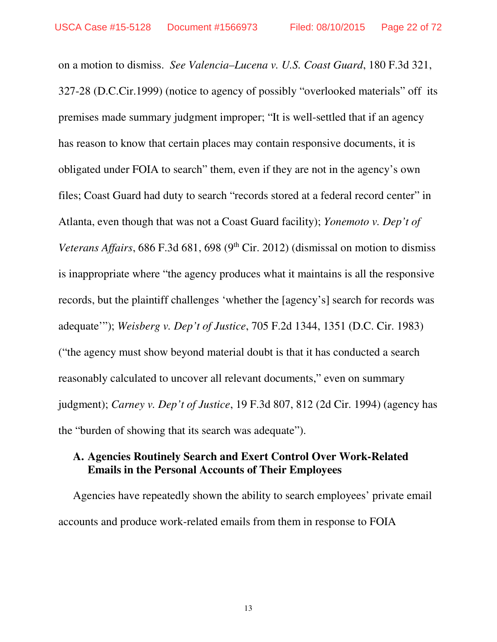on a motion to dismiss. *See Valencia–Lucena v. U.S. Coast Guard*, 180 F.3d 321, 327-28 (D.C.Cir.1999) (notice to agency of possibly "overlooked materials" off its premises made summary judgment improper; "It is well-settled that if an agency has reason to know that certain places may contain responsive documents, it is obligated under FOIA to search" them, even if they are not in the agency's own files; Coast Guard had duty to search "records stored at a federal record center" in Atlanta, even though that was not a Coast Guard facility); *Yonemoto v. Dep't of Veterans Affairs*, 686 F.3d 681, 698 (9<sup>th</sup> Cir. 2012) (dismissal on motion to dismiss is inappropriate where "the agency produces what it maintains is all the responsive records, but the plaintiff challenges 'whether the [agency's] search for records was adequate'"); *Weisberg v. Dep't of Justice*, 705 F.2d 1344, 1351 (D.C. Cir. 1983) ("the agency must show beyond material doubt is that it has conducted a search reasonably calculated to uncover all relevant documents," even on summary judgment); *Carney v. Dep't of Justice*, 19 F.3d 807, 812 (2d Cir. 1994) (agency has the "burden of showing that its search was adequate").

#### **A. Agencies Routinely Search and Exert Control Over Work-Related Emails in the Personal Accounts of Their Employees**

Agencies have repeatedly shown the ability to search employees' private email accounts and produce work-related emails from them in response to FOIA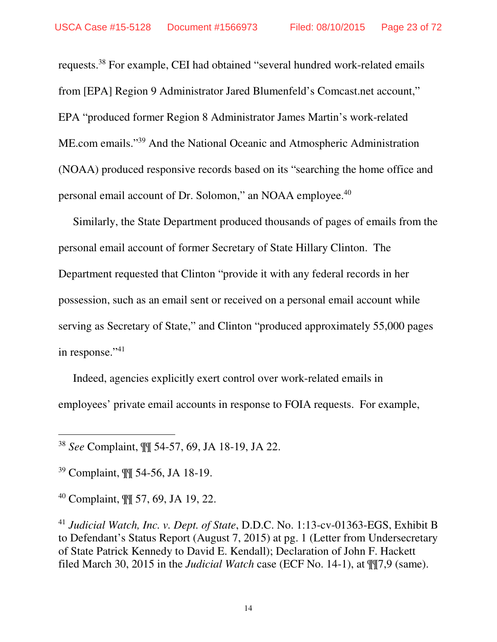requests.<sup>38</sup> For example, CEI had obtained "several hundred work-related emails from [EPA] Region 9 Administrator Jared Blumenfeld's Comcast.net account," EPA "produced former Region 8 Administrator James Martin's work-related ME.com emails."<sup>39</sup> And the National Oceanic and Atmospheric Administration (NOAA) produced responsive records based on its "searching the home office and personal email account of Dr. Solomon," an NOAA employee.<sup>40</sup>

Similarly, the State Department produced thousands of pages of emails from the personal email account of former Secretary of State Hillary Clinton. The Department requested that Clinton "provide it with any federal records in her possession, such as an email sent or received on a personal email account while serving as Secretary of State," and Clinton "produced approximately 55,000 pages in response."<sup>41</sup>

Indeed, agencies explicitly exert control over work-related emails in employees' private email accounts in response to FOIA requests. For example,

<sup>39</sup> Complaint, ¶¶ 54-56, JA 18-19.

-

<sup>40</sup> Complaint, ¶¶ 57, 69, JA 19, 22.

<sup>41</sup> *Judicial Watch, Inc. v. Dept. of State*, D.D.C. No. 1:13-cv-01363-EGS, Exhibit B to Defendant's Status Report (August 7, 2015) at pg. 1 (Letter from Undersecretary of State Patrick Kennedy to David E. Kendall); Declaration of John F. Hackett filed March 30, 2015 in the *Judicial Watch* case (ECF No. 14-1), at ¶¶7,9 (same).

<sup>38</sup> *See* Complaint, ¶¶ 54-57, 69, JA 18-19, JA 22.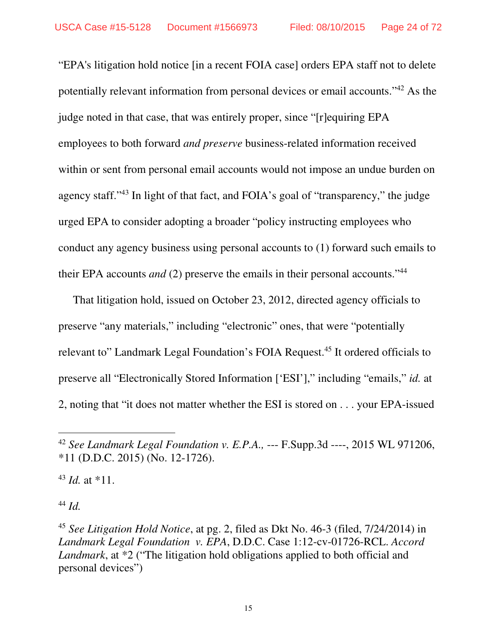"EPA's litigation hold notice [in a recent FOIA case] orders EPA staff not to delete potentially relevant information from personal devices or email accounts."<sup>42</sup> As the judge noted in that case, that was entirely proper, since "[r]equiring EPA employees to both forward *and preserve* business-related information received within or sent from personal email accounts would not impose an undue burden on agency staff."<sup>43</sup> In light of that fact, and FOIA's goal of "transparency," the judge urged EPA to consider adopting a broader "policy instructing employees who conduct any agency business using personal accounts to (1) forward such emails to their EPA accounts *and* (2) preserve the emails in their personal accounts."<sup>44</sup>

That litigation hold, issued on October 23, 2012, directed agency officials to preserve "any materials," including "electronic" ones, that were "potentially relevant to" Landmark Legal Foundation's FOIA Request.<sup>45</sup> It ordered officials to preserve all "Electronically Stored Information ['ESI']," including "emails," *id.* at 2, noting that "it does not matter whether the ESI is stored on . . . your EPA-issued

<sup>43</sup> *Id.* at \*11.

<sup>44</sup> *Id.* 

<sup>42</sup> *See Landmark Legal Foundation v. E.P.A.,* --- F.Supp.3d ----, 2015 WL 971206, \*11 (D.D.C. 2015) (No. 12-1726).

<sup>45</sup> *See Litigation Hold Notice*, at pg. 2, filed as Dkt No. 46-3 (filed, 7/24/2014) in *Landmark Legal Foundation v. EPA*, D.D.C. Case 1:12-cv-01726-RCL. *Accord Landmark*, at \*2 ("The litigation hold obligations applied to both official and personal devices")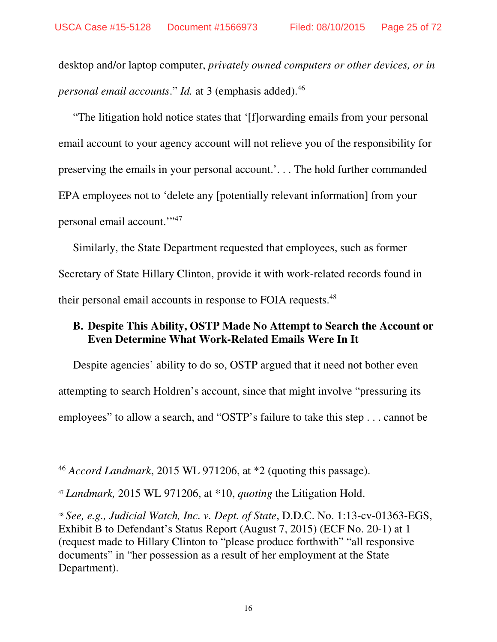desktop and/or laptop computer, *privately owned computers or other devices, or in personal email accounts*." *Id.* at 3 (emphasis added).<sup>46</sup>

"The litigation hold notice states that '[f]orwarding emails from your personal email account to your agency account will not relieve you of the responsibility for preserving the emails in your personal account.'. . . The hold further commanded EPA employees not to 'delete any [potentially relevant information] from your personal email account.'"<sup>47</sup>

Similarly, the State Department requested that employees, such as former Secretary of State Hillary Clinton, provide it with work-related records found in their personal email accounts in response to FOIA requests.<sup>48</sup>

#### **B. Despite This Ability, OSTP Made No Attempt to Search the Account or Even Determine What Work-Related Emails Were In It**

Despite agencies' ability to do so, OSTP argued that it need not bother even attempting to search Holdren's account, since that might involve "pressuring its employees" to allow a search, and "OSTP's failure to take this step . . . cannot be

<sup>46</sup> *Accord Landmark*, 2015 WL 971206, at \*2 (quoting this passage).

<sup>47</sup> *Landmark,* 2015 WL 971206, at \*10, *quoting* the Litigation Hold.

<sup>48</sup> *See, e.g., Judicial Watch, Inc. v. Dept. of State*, D.D.C. No. 1:13-cv-01363-EGS, Exhibit B to Defendant's Status Report (August 7, 2015) (ECF No. 20-1) at 1 (request made to Hillary Clinton to "please produce forthwith" "all responsive documents" in "her possession as a result of her employment at the State Department).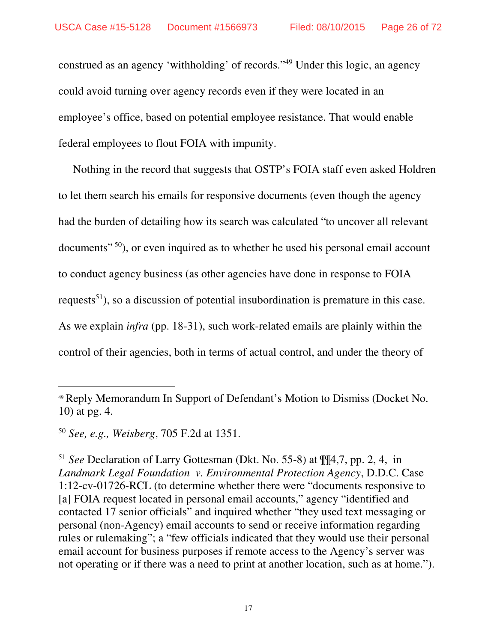construed as an agency 'withholding' of records."<sup>49</sup> Under this logic, an agency could avoid turning over agency records even if they were located in an employee's office, based on potential employee resistance. That would enable federal employees to flout FOIA with impunity.

Nothing in the record that suggests that OSTP's FOIA staff even asked Holdren to let them search his emails for responsive documents (even though the agency had the burden of detailing how its search was calculated "to uncover all relevant documents"<sup>50</sup>), or even inquired as to whether he used his personal email account to conduct agency business (as other agencies have done in response to FOIA requests<sup>51</sup>), so a discussion of potential insubordination is premature in this case. As we explain *infra* (pp. 18-31), such work-related emails are plainly within the control of their agencies, both in terms of actual control, and under the theory of

<sup>49</sup> Reply Memorandum In Support of Defendant's Motion to Dismiss (Docket No. 10) at pg. 4.

<sup>50</sup> *See, e.g., Weisberg*, 705 F.2d at 1351.

<sup>51</sup> *See* Declaration of Larry Gottesman (Dkt. No. 55-8) at ¶¶4,7, pp. 2, 4, in *Landmark Legal Foundation v. Environmental Protection Agency*, D.D.C. Case 1:12-cv-01726-RCL (to determine whether there were "documents responsive to [a] FOIA request located in personal email accounts," agency "identified and contacted 17 senior officials" and inquired whether "they used text messaging or personal (non-Agency) email accounts to send or receive information regarding rules or rulemaking"; a "few officials indicated that they would use their personal email account for business purposes if remote access to the Agency's server was not operating or if there was a need to print at another location, such as at home.").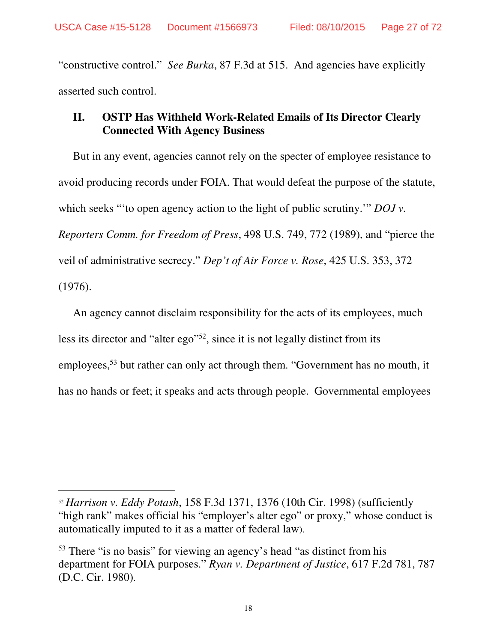"constructive control." *See Burka*, 87 F.3d at 515. And agencies have explicitly asserted such control.

# **II. OSTP Has Withheld Work-Related Emails of Its Director Clearly Connected With Agency Business**

But in any event, agencies cannot rely on the specter of employee resistance to avoid producing records under FOIA. That would defeat the purpose of the statute, which seeks "to open agency action to the light of public scrutiny." *DOJ v. Reporters Comm. for Freedom of Press*, 498 U.S. 749, 772 (1989), and "pierce the veil of administrative secrecy." *Dep't of Air Force v. Rose*, 425 U.S. 353, 372 (1976).

An agency cannot disclaim responsibility for the acts of its employees, much less its director and "alter ego"<sup>52</sup>, since it is not legally distinct from its employees,<sup>53</sup> but rather can only act through them. "Government has no mouth, it has no hands or feet; it speaks and acts through people. Governmental employees

<sup>52</sup> *Harrison v. Eddy Potash*, 158 F.3d 1371, 1376 (10th Cir. 1998) (sufficiently "high rank" makes official his "employer's alter ego" or proxy," whose conduct is automatically imputed to it as a matter of federal law).

<sup>53</sup> There "is no basis" for viewing an agency's head "as distinct from his department for FOIA purposes." *Ryan v. Department of Justice*, 617 F.2d 781, 787 (D.C. Cir. 1980).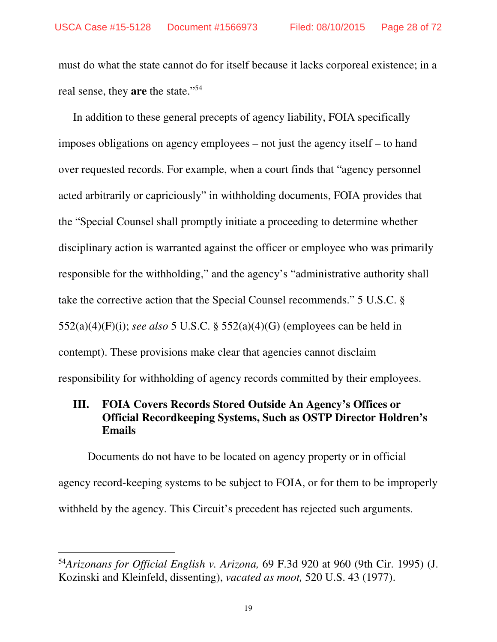must do what the state cannot do for itself because it lacks corporeal existence; in a real sense, they **are** the state."<sup>54</sup>

In addition to these general precepts of agency liability, FOIA specifically imposes obligations on agency employees – not just the agency itself – to hand over requested records. For example, when a court finds that "agency personnel acted arbitrarily or capriciously" in withholding documents, FOIA provides that the "Special Counsel shall promptly initiate a proceeding to determine whether disciplinary action is warranted against the officer or employee who was primarily responsible for the withholding," and the agency's "administrative authority shall take the corrective action that the Special Counsel recommends." 5 U.S.C. § 552(a)(4)(F)(i); *see also* 5 U.S.C. § 552(a)(4)(G) (employees can be held in contempt). These provisions make clear that agencies cannot disclaim responsibility for withholding of agency records committed by their employees.

## **III. FOIA Covers Records Stored Outside An Agency's Offices or Official Recordkeeping Systems, Such as OSTP Director Holdren's Emails**

 Documents do not have to be located on agency property or in official agency record-keeping systems to be subject to FOIA, or for them to be improperly withheld by the agency. This Circuit's precedent has rejected such arguments.

<sup>54</sup>*Arizonans for Official English v. Arizona,* 69 F.3d 920 at 960 (9th Cir. 1995) (J. Kozinski and Kleinfeld, dissenting), *vacated as moot,* 520 U.S. 43 (1977).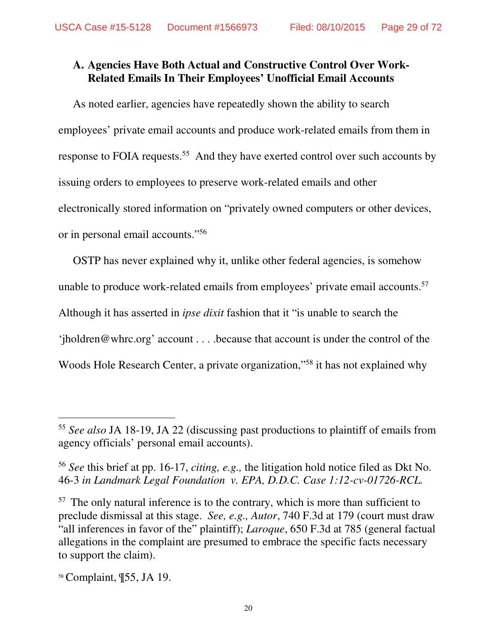## **A. Agencies Have Both Actual and Constructive Control Over Work-Related Emails In Their Employees' Unofficial Email Accounts**

As noted earlier, agencies have repeatedly shown the ability to search employees' private email accounts and produce work-related emails from them in response to FOIA requests.<sup>55</sup> And they have exerted control over such accounts by issuing orders to employees to preserve work-related emails and other electronically stored information on "privately owned computers or other devices, or in personal email accounts."<sup>56</sup>

OSTP has never explained why it, unlike other federal agencies, is somehow unable to produce work-related emails from employees' private email accounts.<sup>57</sup> Although it has asserted in *ipse dixit* fashion that it "is unable to search the 'jholdren@whrc.org' account . . . .because that account is under the control of the Woods Hole Research Center, a private organization," <sup>58</sup> it has not explained why

 $\overline{a}$ 

<sup>55</sup> *See also* JA 18-19, JA 22 (discussing past productions to plaintiff of emails from agency officials' personal email accounts).

<sup>56</sup> *See* this brief at pp. 16-17, *citing, e.g.,* the litigation hold notice filed as Dkt No. 46-3 *in Landmark Legal Foundation v. EPA, D.D.C. Case 1:12-cv-01726-RCL.* 

 $57$  The only natural inference is to the contrary, which is more than sufficient to preclude dismissal at this stage. *See, e.g., Autor*, 740 F.3d at 179 (court must draw "all inferences in favor of the" plaintiff); *Laroque*, 650 F.3d at 785 (general factual allegations in the complaint are presumed to embrace the specific facts necessary to support the claim).

<sup>58</sup> Complaint, ¶55, JA 19.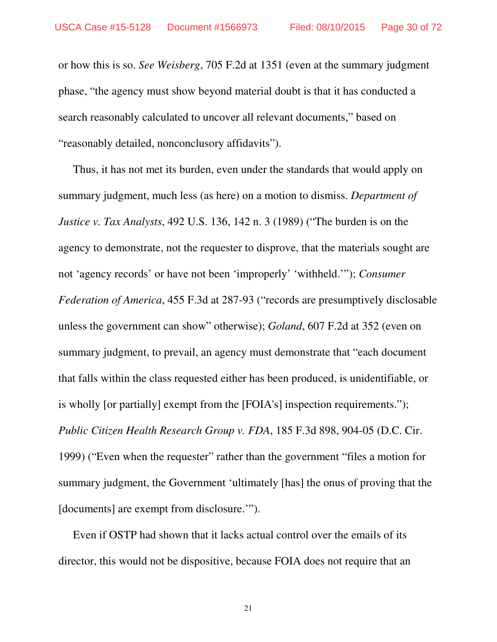or how this is so. *See Weisberg*, 705 F.2d at 1351 (even at the summary judgment phase, "the agency must show beyond material doubt is that it has conducted a search reasonably calculated to uncover all relevant documents," based on "reasonably detailed, nonconclusory affidavits").

Thus, it has not met its burden, even under the standards that would apply on summary judgment, much less (as here) on a motion to dismiss. *Department of Justice v. Tax Analysts*, 492 U.S. 136, 142 n. 3 (1989) ("The burden is on the agency to demonstrate, not the requester to disprove, that the materials sought are not 'agency records' or have not been 'improperly' 'withheld.'"); *Consumer Federation of America*, 455 F.3d at 287-93 ("records are presumptively disclosable unless the government can show" otherwise); *Goland*, 607 F.2d at 352 (even on summary judgment, to prevail, an agency must demonstrate that "each document that falls within the class requested either has been produced, is unidentifiable, or is wholly [or partially] exempt from the [FOIA's] inspection requirements."); *Public Citizen Health Research Group v. FDA*, 185 F.3d 898, 904-05 (D.C. Cir. 1999) ("Even when the requester" rather than the government "files a motion for summary judgment, the Government 'ultimately [has] the onus of proving that the [documents] are exempt from disclosure."").

Even if OSTP had shown that it lacks actual control over the emails of its director, this would not be dispositive, because FOIA does not require that an

21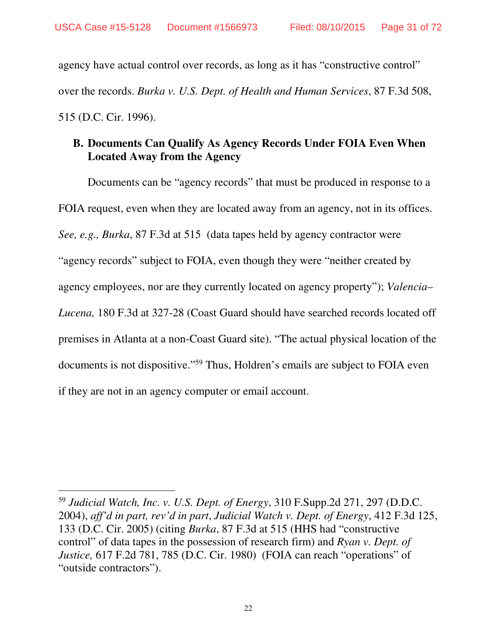agency have actual control over records, as long as it has "constructive control" over the records. *Burka v. U.S. Dept. of Health and Human Services*, 87 F.3d 508, 515 (D.C. Cir. 1996).

### **B. Documents Can Qualify As Agency Records Under FOIA Even When Located Away from the Agency**

 Documents can be "agency records" that must be produced in response to a FOIA request, even when they are located away from an agency, not in its offices. *See, e.g., Burka*, 87 F.3d at 515 (data tapes held by agency contractor were "agency records" subject to FOIA, even though they were "neither created by agency employees, nor are they currently located on agency property"); *Valencia– Lucena,* 180 F.3d at 327-28 (Coast Guard should have searched records located off premises in Atlanta at a non-Coast Guard site). "The actual physical location of the documents is not dispositive."<sup>59</sup> Thus, Holdren's emails are subject to FOIA even if they are not in an agency computer or email account.

<sup>59</sup> *Judicial Watch, Inc. v. U.S. Dept. of Energy*, 310 F.Supp.2d 271, 297 (D.D.C. 2004), *aff'd in part, rev'd in part*, *Judicial Watch v. Dept. of Energy*, 412 F.3d 125, 133 (D.C. Cir. 2005) (citing *Burka*, 87 F.3d at 515 (HHS had "constructive control" of data tapes in the possession of research firm) and *Ryan v. Dept. of Justice,* 617 F.2d 781, 785 (D.C. Cir. 1980) (FOIA can reach "operations" of "outside contractors").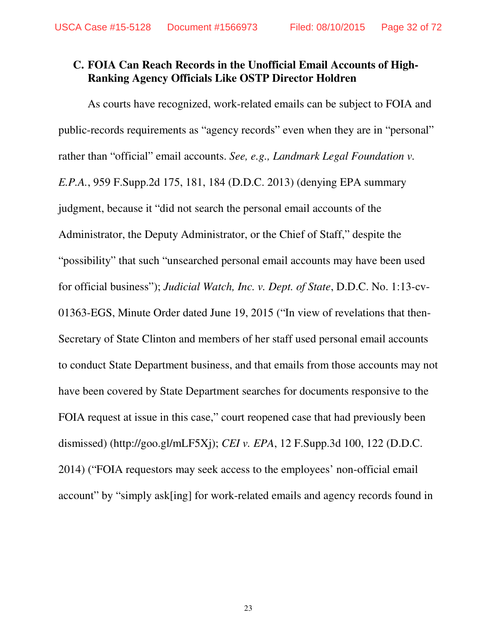#### **C. FOIA Can Reach Records in the Unofficial Email Accounts of High-Ranking Agency Officials Like OSTP Director Holdren**

 As courts have recognized, work-related emails can be subject to FOIA and public-records requirements as "agency records" even when they are in "personal" rather than "official" email accounts. *See, e.g., Landmark Legal Foundation v. E.P.A.*, 959 F.Supp.2d 175, 181, 184 (D.D.C. 2013) (denying EPA summary judgment, because it "did not search the personal email accounts of the Administrator, the Deputy Administrator, or the Chief of Staff," despite the "possibility" that such "unsearched personal email accounts may have been used for official business"); *Judicial Watch, Inc. v. Dept. of State*, D.D.C. No. 1:13-cv-01363-EGS, Minute Order dated June 19, 2015 ("In view of revelations that then-Secretary of State Clinton and members of her staff used personal email accounts to conduct State Department business, and that emails from those accounts may not have been covered by State Department searches for documents responsive to the FOIA request at issue in this case," court reopened case that had previously been dismissed) (http://goo.gl/mLF5Xj); *CEI v. EPA*, 12 F.Supp.3d 100, 122 (D.D.C. 2014) ("FOIA requestors may seek access to the employees' non-official email account" by "simply ask[ing] for work-related emails and agency records found in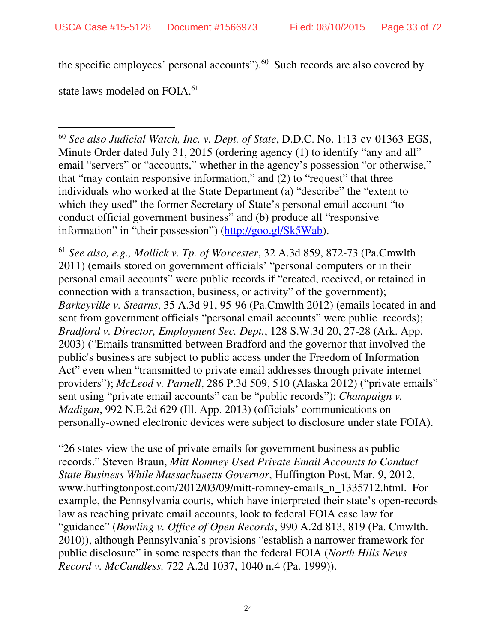the specific employees' personal accounts" $)$ .<sup>60</sup> Such records are also covered by

state laws modeled on FOIA.<sup>61</sup>

-

<sup>60</sup> *See also Judicial Watch, Inc. v. Dept. of State*, D.D.C. No. 1:13-cv-01363-EGS, Minute Order dated July 31, 2015 (ordering agency (1) to identify "any and all" email "servers" or "accounts," whether in the agency's possession "or otherwise," that "may contain responsive information," and (2) to "request" that three individuals who worked at the State Department (a) "describe" the "extent to which they used" the former Secretary of State's personal email account "to conduct official government business" and (b) produce all "responsive information" in "their possession") (http://goo.gl/Sk5Wab).

<sup>61</sup> *See also, e.g., Mollick v. Tp. of Worcester*, 32 A.3d 859, 872-73 (Pa.Cmwlth 2011) (emails stored on government officials' "personal computers or in their personal email accounts" were public records if "created, received, or retained in connection with a transaction, business, or activity" of the government); *Barkeyville v. Stearns*, 35 A.3d 91, 95-96 (Pa.Cmwlth 2012) (emails located in and sent from government officials "personal email accounts" were public records); *Bradford v. Director, Employment Sec. Dept.*, 128 S.W.3d 20, 27-28 (Ark. App. 2003) ("Emails transmitted between Bradford and the governor that involved the public's business are subject to public access under the Freedom of Information Act" even when "transmitted to private email addresses through private internet providers"); *McLeod v. Parnell*, 286 P.3d 509, 510 (Alaska 2012) ("private emails" sent using "private email accounts" can be "public records"); *Champaign v. Madigan*, 992 N.E.2d 629 (Ill. App. 2013) (officials' communications on personally-owned electronic devices were subject to disclosure under state FOIA).

"26 states view the use of private emails for government business as public records." Steven Braun, *Mitt Romney Used Private Email Accounts to Conduct State Business While Massachusetts Governor*, Huffington Post, Mar. 9, 2012, www.huffingtonpost.com/2012/03/09/mitt-romney-emails\_n\_1335712.html. For example, the Pennsylvania courts, which have interpreted their state's open-records law as reaching private email accounts, look to federal FOIA case law for "guidance" (*Bowling v. Office of Open Records*, 990 A.2d 813, 819 (Pa. Cmwlth. 2010)), although Pennsylvania's provisions "establish a narrower framework for public disclosure" in some respects than the federal FOIA (*North Hills News Record v. McCandless,* 722 A.2d 1037, 1040 n.4 (Pa. 1999)).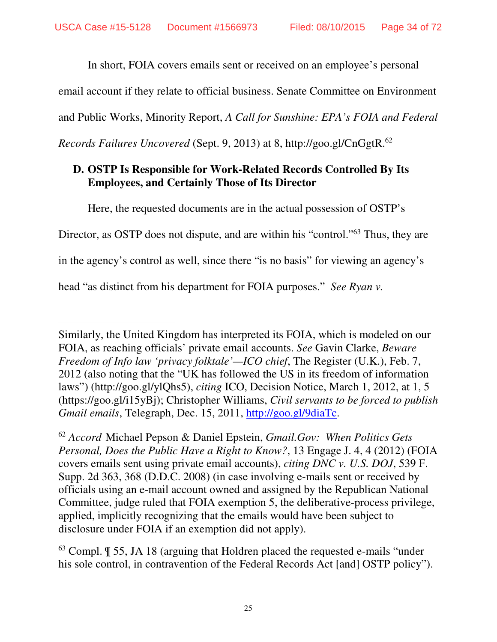In short, FOIA covers emails sent or received on an employee's personal

email account if they relate to official business. Senate Committee on Environment

and Public Works, Minority Report, *A Call for Sunshine: EPA's FOIA and Federal* 

*Records Failures Uncovered* (Sept. 9, 2013) at 8, http://goo.gl/CnGgtR.<sup>62</sup>

# **D. OSTP Is Responsible for Work-Related Records Controlled By Its Employees, and Certainly Those of Its Director**

Here, the requested documents are in the actual possession of OSTP's

Director, as OSTP does not dispute, and are within his "control."<sup>63</sup> Thus, they are

in the agency's control as well, since there "is no basis" for viewing an agency's

head "as distinct from his department for FOIA purposes." *See Ryan v.* 

Similarly, the United Kingdom has interpreted its FOIA, which is modeled on our FOIA, as reaching officials' private email accounts. *See* Gavin Clarke, *Beware Freedom of Info law 'privacy folktale'—ICO chief*, The Register (U.K.), Feb. 7, 2012 (also noting that the "UK has followed the US in its freedom of information laws") (http://goo.gl/ylQhs5), *citing* ICO, Decision Notice, March 1, 2012, at 1, 5 (https://goo.gl/i15yBj); Christopher Williams, *Civil servants to be forced to publish Gmail emails*, Telegraph, Dec. 15, 2011, http://goo.gl/9diaTc.

<sup>62</sup> *Accord* Michael Pepson & Daniel Epstein, *Gmail.Gov: When Politics Gets Personal, Does the Public Have a Right to Know?*, 13 Engage J. 4, 4 (2012) (FOIA covers emails sent using private email accounts), *citing DNC v. U.S. DOJ*, 539 F. Supp. 2d 363, 368 (D.D.C. 2008) (in case involving e-mails sent or received by officials using an e-mail account owned and assigned by the Republican National Committee, judge ruled that FOIA exemption 5, the deliberative-process privilege, applied, implicitly recognizing that the emails would have been subject to disclosure under FOIA if an exemption did not apply).

<sup>63</sup> Compl. ¶ 55, JA 18 (arguing that Holdren placed the requested e-mails "under his sole control, in contravention of the Federal Records Act [and] OSTP policy").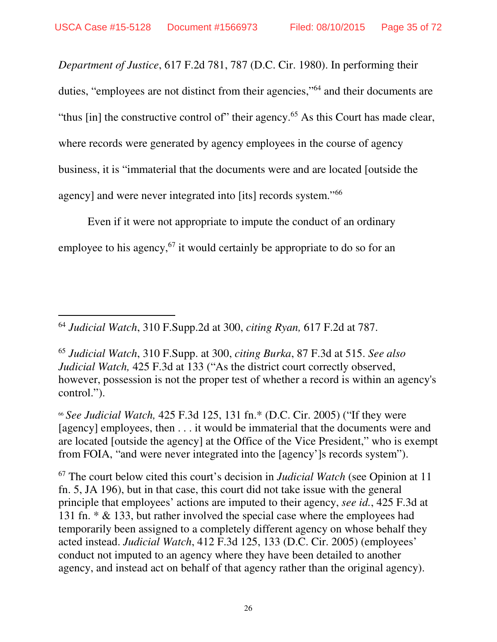-

*Department of Justice*, 617 F.2d 781, 787 (D.C. Cir. 1980). In performing their duties, "employees are not distinct from their agencies,"<sup>64</sup> and their documents are "thus [in] the constructive control of" their agency.<sup>65</sup> As this Court has made clear, where records were generated by agency employees in the course of agency business, it is "immaterial that the documents were and are located [outside the agency] and were never integrated into [its] records system."<sup>66</sup>

Even if it were not appropriate to impute the conduct of an ordinary employee to his agency,  $67$  it would certainly be appropriate to do so for an

<sup>66</sup> *See Judicial Watch,* 425 F.3d 125, 131 fn.\* (D.C. Cir. 2005) ("If they were [agency] employees, then . . . it would be immaterial that the documents were and are located [outside the agency] at the Office of the Vice President," who is exempt from FOIA, "and were never integrated into the [agency']s records system").

<sup>67</sup> The court below cited this court's decision in *Judicial Watch* (see Opinion at 11 fn. 5, JA 196), but in that case, this court did not take issue with the general principle that employees' actions are imputed to their agency, *see id.*, 425 F.3d at 131 fn. \* & 133, but rather involved the special case where the employees had temporarily been assigned to a completely different agency on whose behalf they acted instead. *Judicial Watch*, 412 F.3d 125, 133 (D.C. Cir. 2005) (employees' conduct not imputed to an agency where they have been detailed to another agency, and instead act on behalf of that agency rather than the original agency).

<sup>64</sup> *Judicial Watch*, 310 F.Supp.2d at 300, *citing Ryan,* 617 F.2d at 787.

<sup>65</sup> *Judicial Watch*, 310 F.Supp. at 300, *citing Burka*, 87 F.3d at 515. *See also Judicial Watch,* 425 F.3d at 133 ("As the district court correctly observed, however, possession is not the proper test of whether a record is within an agency's control.").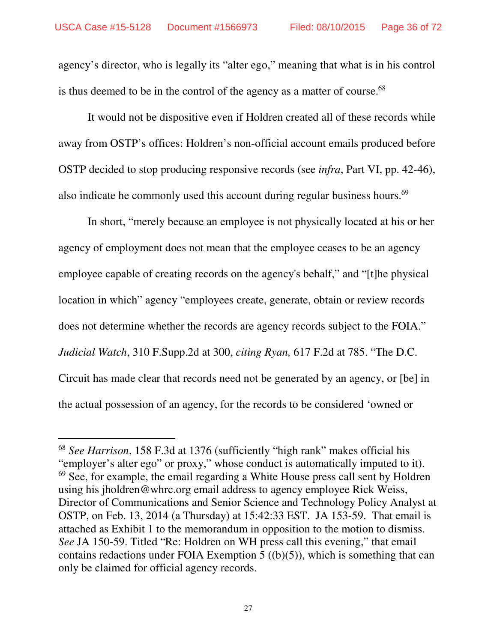agency's director, who is legally its "alter ego," meaning that what is in his control is thus deemed to be in the control of the agency as a matter of course.<sup>68</sup>

 It would not be dispositive even if Holdren created all of these records while away from OSTP's offices: Holdren's non-official account emails produced before OSTP decided to stop producing responsive records (see *infra*, Part VI, pp. 42-46), also indicate he commonly used this account during regular business hours.<sup>69</sup>

 In short, "merely because an employee is not physically located at his or her agency of employment does not mean that the employee ceases to be an agency employee capable of creating records on the agency's behalf," and "[t]he physical location in which" agency "employees create, generate, obtain or review records does not determine whether the records are agency records subject to the FOIA." *Judicial Watch*, 310 F.Supp.2d at 300, *citing Ryan,* 617 F.2d at 785. "The D.C. Circuit has made clear that records need not be generated by an agency, or [be] in the actual possession of an agency, for the records to be considered 'owned or

<sup>68</sup> *See Harrison*, 158 F.3d at 1376 (sufficiently "high rank" makes official his "employer's alter ego" or proxy," whose conduct is automatically imputed to it).  $69$  See, for example, the email regarding a White House press call sent by Holdren using his jholdren@whrc.org email address to agency employee Rick Weiss, Director of Communications and Senior Science and Technology Policy Analyst at OSTP, on Feb. 13, 2014 (a Thursday) at 15:42:33 EST. JA 153-59. That email is attached as Exhibit 1 to the memorandum in opposition to the motion to dismiss. *See* JA 150-59. Titled "Re: Holdren on WH press call this evening," that email contains redactions under FOIA Exemption  $5((b)(5))$ , which is something that can only be claimed for official agency records.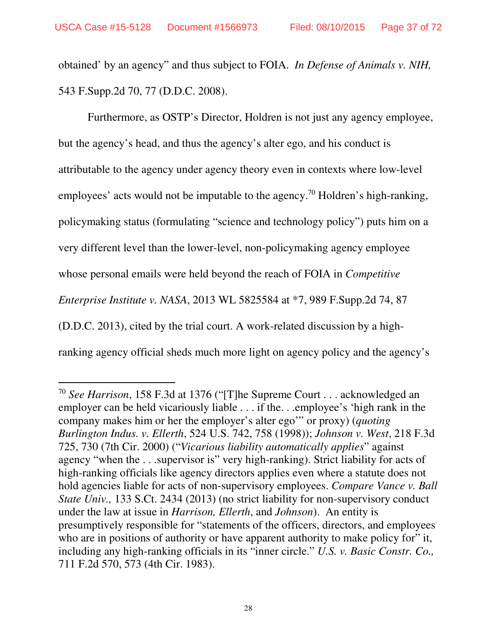-

obtained' by an agency" and thus subject to FOIA. *In Defense of Animals v. NIH,* 543 F.Supp.2d 70, 77 (D.D.C. 2008).

 Furthermore, as OSTP's Director, Holdren is not just any agency employee, but the agency's head, and thus the agency's alter ego, and his conduct is attributable to the agency under agency theory even in contexts where low-level employees' acts would not be imputable to the agency.<sup>70</sup> Holdren's high-ranking, policymaking status (formulating "science and technology policy") puts him on a very different level than the lower-level, non-policymaking agency employee whose personal emails were held beyond the reach of FOIA in *Competitive Enterprise Institute v. NASA*, 2013 WL 5825584 at \*7, 989 F.Supp.2d 74, 87 (D.D.C. 2013), cited by the trial court. A work-related discussion by a highranking agency official sheds much more light on agency policy and the agency's

<sup>70</sup> *See Harrison*, 158 F.3d at 1376 ("[T]he Supreme Court . . . acknowledged an employer can be held vicariously liable . . . if the. . .employee's 'high rank in the company makes him or her the employer's alter ego'" or proxy) (*quoting Burlington Indus. v. Ellerth*, 524 U.S. 742, 758 (1998)); *Johnson v. West*, 218 F.3d 725, 730 (7th Cir. 2000) ("*Vicarious liability automatically applies*" against agency "when the . . .supervisor is" very high-ranking). Strict liability for acts of high-ranking officials like agency directors applies even where a statute does not hold agencies liable for acts of non-supervisory employees. *Compare Vance v. Ball State Univ.,* 133 S.Ct. 2434 (2013) (no strict liability for non-supervisory conduct under the law at issue in *Harrison, Ellerth*, and *Johnson*). An entity is presumptively responsible for "statements of the officers, directors, and employees who are in positions of authority or have apparent authority to make policy for" it, including any high-ranking officials in its "inner circle." *U.S. v. Basic Constr. Co.,* 711 F.2d 570, 573 (4th Cir. 1983).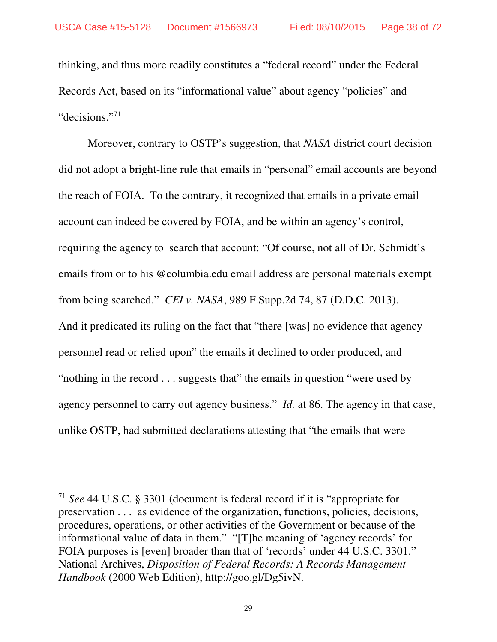thinking, and thus more readily constitutes a "federal record" under the Federal Records Act, based on its "informational value" about agency "policies" and "decisions."<sup>71</sup>

 Moreover, contrary to OSTP's suggestion, that *NASA* district court decision did not adopt a bright-line rule that emails in "personal" email accounts are beyond the reach of FOIA. To the contrary, it recognized that emails in a private email account can indeed be covered by FOIA, and be within an agency's control, requiring the agency to search that account: "Of course, not all of Dr. Schmidt's emails from or to his @columbia.edu email address are personal materials exempt from being searched." *CEI v. NASA*, 989 F.Supp.2d 74, 87 (D.D.C. 2013). And it predicated its ruling on the fact that "there [was] no evidence that agency personnel read or relied upon" the emails it declined to order produced, and "nothing in the record . . . suggests that" the emails in question "were used by agency personnel to carry out agency business." *Id.* at 86. The agency in that case, unlike OSTP, had submitted declarations attesting that "the emails that were

-

<sup>71</sup> *See* 44 U.S.C. § 3301 (document is federal record if it is "appropriate for preservation . . . as evidence of the organization, functions, policies, decisions, procedures, operations, or other activities of the Government or because of the informational value of data in them." "[T]he meaning of 'agency records' for FOIA purposes is [even] broader than that of 'records' under 44 U.S.C. 3301." National Archives, *Disposition of Federal Records: A Records Management Handbook* (2000 Web Edition), http://goo.gl/Dg5ivN.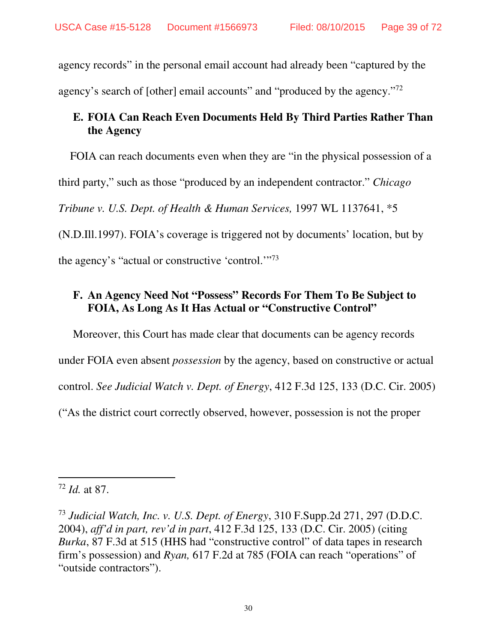agency records" in the personal email account had already been "captured by the agency's search of [other] email accounts" and "produced by the agency."<sup>72</sup>

### **E. FOIA Can Reach Even Documents Held By Third Parties Rather Than the Agency**

FOIA can reach documents even when they are "in the physical possession of a

third party," such as those "produced by an independent contractor." *Chicago* 

*Tribune v. U.S. Dept. of Health & Human Services,* 1997 WL 1137641, \*5

(N.D.Ill.1997). FOIA's coverage is triggered not by documents' location, but by

the agency's "actual or constructive 'control."<sup>73</sup>

#### **F. An Agency Need Not "Possess" Records For Them To Be Subject to FOIA, As Long As It Has Actual or "Constructive Control"**

Moreover, this Court has made clear that documents can be agency records under FOIA even absent *possession* by the agency, based on constructive or actual control. *See Judicial Watch v. Dept. of Energy*, 412 F.3d 125, 133 (D.C. Cir. 2005) ("As the district court correctly observed, however, possession is not the proper

 $\overline{a}$ <sup>72</sup> *Id.* at 87.

<sup>73</sup> *Judicial Watch, Inc. v. U.S. Dept. of Energy*, 310 F.Supp.2d 271, 297 (D.D.C. 2004), *aff'd in part, rev'd in part*, 412 F.3d 125, 133 (D.C. Cir. 2005) (citing *Burka*, 87 F.3d at 515 (HHS had "constructive control" of data tapes in research firm's possession) and *Ryan,* 617 F.2d at 785 (FOIA can reach "operations" of "outside contractors").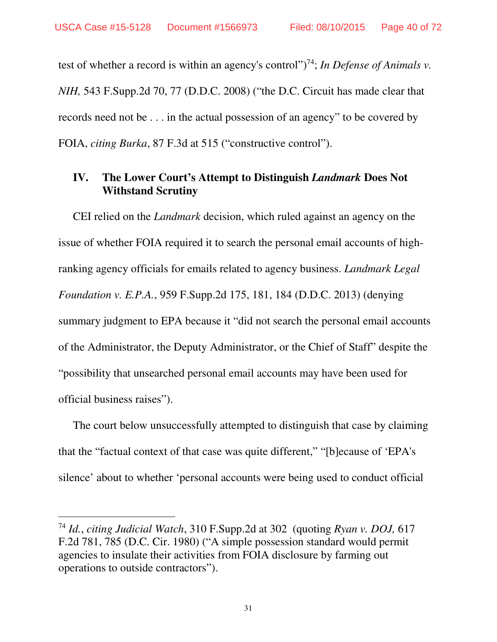test of whether a record is within an agency's control")<sup>74</sup>; *In Defense of Animals v. NIH,* 543 F.Supp.2d 70, 77 (D.D.C. 2008) ("the D.C. Circuit has made clear that records need not be . . . in the actual possession of an agency" to be covered by FOIA, *citing Burka*, 87 F.3d at 515 ("constructive control").

#### **IV. The Lower Court's Attempt to Distinguish** *Landmark* **Does Not Withstand Scrutiny**

CEI relied on the *Landmark* decision, which ruled against an agency on the issue of whether FOIA required it to search the personal email accounts of highranking agency officials for emails related to agency business. *Landmark Legal Foundation v. E.P.A.*, 959 F.Supp.2d 175, 181, 184 (D.D.C. 2013) (denying summary judgment to EPA because it "did not search the personal email accounts of the Administrator, the Deputy Administrator, or the Chief of Staff" despite the "possibility that unsearched personal email accounts may have been used for official business raises").

The court below unsuccessfully attempted to distinguish that case by claiming that the "factual context of that case was quite different," "[b]ecause of 'EPA's silence' about to whether 'personal accounts were being used to conduct official

-

31

<sup>74</sup> *Id.*, *citing Judicial Watch*, 310 F.Supp.2d at 302 (quoting *Ryan v. DOJ,* 617 F.2d 781, 785 (D.C. Cir. 1980) ("A simple possession standard would permit agencies to insulate their activities from FOIA disclosure by farming out operations to outside contractors").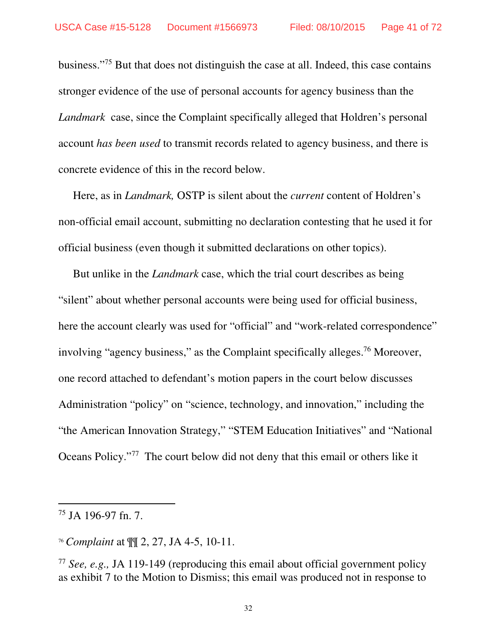business."<sup>75</sup> But that does not distinguish the case at all. Indeed, this case contains stronger evidence of the use of personal accounts for agency business than the *Landmark* case, since the Complaint specifically alleged that Holdren's personal account *has been used* to transmit records related to agency business, and there is concrete evidence of this in the record below.

Here, as in *Landmark,* OSTP is silent about the *current* content of Holdren's non-official email account, submitting no declaration contesting that he used it for official business (even though it submitted declarations on other topics).

But unlike in the *Landmark* case, which the trial court describes as being "silent" about whether personal accounts were being used for official business, here the account clearly was used for "official" and "work-related correspondence" involving "agency business," as the Complaint specifically alleges.<sup>76</sup> Moreover, one record attached to defendant's motion papers in the court below discusses Administration "policy" on "science, technology, and innovation," including the "the American Innovation Strategy," "STEM Education Initiatives" and "National Oceans Policy."<sup>77</sup> The court below did not deny that this email or others like it

-

<sup>75</sup> JA 196-97 fn. 7.

<sup>76</sup> *Complaint* at ¶¶ 2, 27, JA 4-5, 10-11.

<sup>77</sup> *See, e.g.,* JA 119-149 (reproducing this email about official government policy as exhibit 7 to the Motion to Dismiss; this email was produced not in response to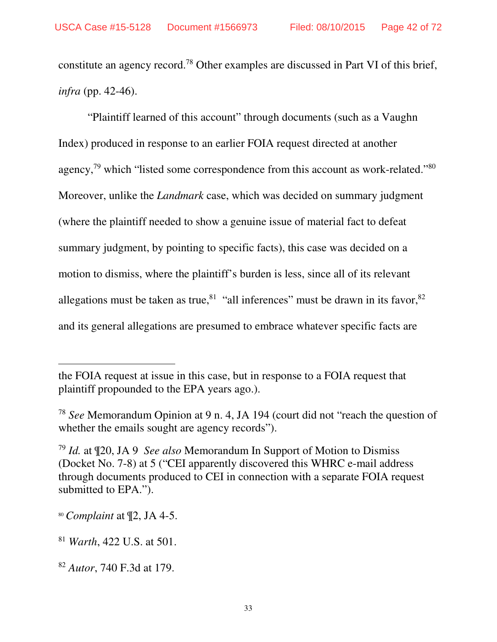constitute an agency record.<sup>78</sup> Other examples are discussed in Part VI of this brief, *infra* (pp. 42-46).

 "Plaintiff learned of this account" through documents (such as a Vaughn Index) produced in response to an earlier FOIA request directed at another agency,<sup>79</sup> which "listed some correspondence from this account as work-related."<sup>80</sup> Moreover, unlike the *Landmark* case, which was decided on summary judgment (where the plaintiff needed to show a genuine issue of material fact to defeat summary judgment, by pointing to specific facts), this case was decided on a motion to dismiss, where the plaintiff's burden is less, since all of its relevant allegations must be taken as true,  $81$  "all inferences" must be drawn in its favor,  $82$ and its general allegations are presumed to embrace whatever specific facts are

the FOIA request at issue in this case, but in response to a FOIA request that plaintiff propounded to the EPA years ago.).

<sup>78</sup> *See* Memorandum Opinion at 9 n. 4, JA 194 (court did not "reach the question of whether the emails sought are agency records").

<sup>79</sup> *Id.* at ¶20, JA 9 *See also* Memorandum In Support of Motion to Dismiss (Docket No. 7-8) at 5 ("CEI apparently discovered this WHRC e-mail address through documents produced to CEI in connection with a separate FOIA request submitted to EPA.").

<sup>80</sup> *Complaint* at ¶2, JA 4-5.

<sup>81</sup> *Warth*, 422 U.S. at 501.

<sup>82</sup> *Autor*, 740 F.3d at 179.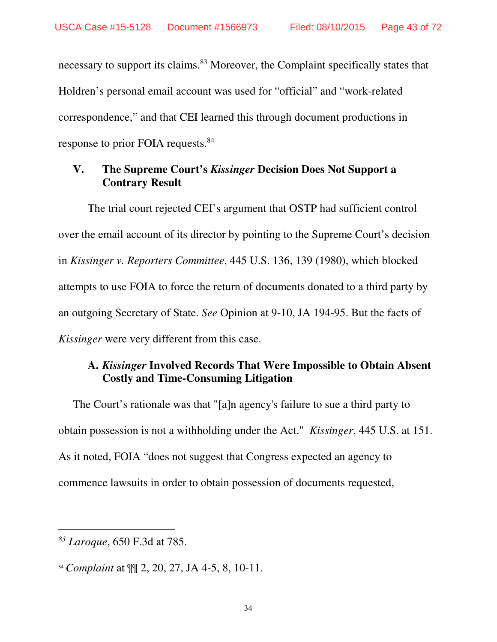necessary to support its claims.<sup>83</sup> Moreover, the Complaint specifically states that Holdren's personal email account was used for "official" and "work-related correspondence," and that CEI learned this through document productions in response to prior FOIA requests.<sup>84</sup>

#### **V. The Supreme Court's** *Kissinger* **Decision Does Not Support a Contrary Result**

The trial court rejected CEI's argument that OSTP had sufficient control over the email account of its director by pointing to the Supreme Court's decision in *Kissinger v. Reporters Committee*, 445 U.S. 136, 139 (1980), which blocked attempts to use FOIA to force the return of documents donated to a third party by an outgoing Secretary of State. *See* Opinion at 9-10, JA 194-95. But the facts of *Kissinger* were very different from this case.

#### **A.** *Kissinger* **Involved Records That Were Impossible to Obtain Absent Costly and Time-Consuming Litigation**

The Court's rationale was that "[a]n agency's failure to sue a third party to obtain possession is not a withholding under the Act." *Kissinger*, 445 U.S. at 151. As it noted, FOIA "does not suggest that Congress expected an agency to commence lawsuits in order to obtain possession of documents requested,

<sup>84</sup> *Complaint* at ¶¶ 2, 20, 27, JA 4-5, 8, 10-11.

<sup>-</sup>*<sup>83</sup> Laroque*, 650 F.3d at 785.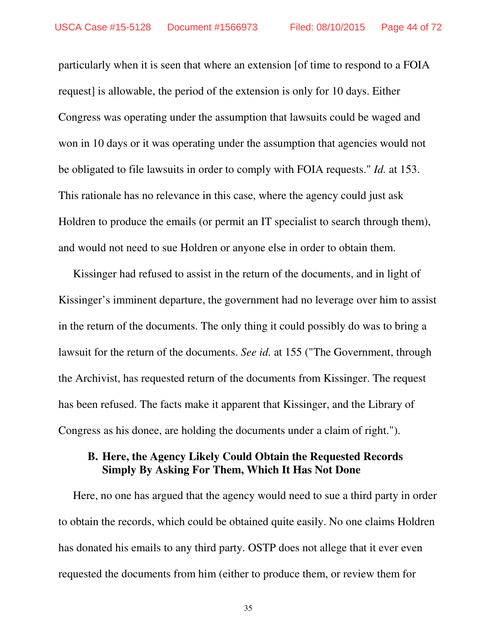particularly when it is seen that where an extension [of time to respond to a FOIA request] is allowable, the period of the extension is only for 10 days. Either Congress was operating under the assumption that lawsuits could be waged and won in 10 days or it was operating under the assumption that agencies would not be obligated to file lawsuits in order to comply with FOIA requests." *Id.* at 153. This rationale has no relevance in this case, where the agency could just ask Holdren to produce the emails (or permit an IT specialist to search through them), and would not need to sue Holdren or anyone else in order to obtain them.

Kissinger had refused to assist in the return of the documents, and in light of Kissinger's imminent departure, the government had no leverage over him to assist in the return of the documents. The only thing it could possibly do was to bring a lawsuit for the return of the documents. *See id.* at 155 ("The Government, through the Archivist, has requested return of the documents from Kissinger. The request has been refused. The facts make it apparent that Kissinger, and the Library of Congress as his donee, are holding the documents under a claim of right.").

#### **B. Here, the Agency Likely Could Obtain the Requested Records Simply By Asking For Them, Which It Has Not Done**

Here, no one has argued that the agency would need to sue a third party in order to obtain the records, which could be obtained quite easily. No one claims Holdren has donated his emails to any third party. OSTP does not allege that it ever even requested the documents from him (either to produce them, or review them for

35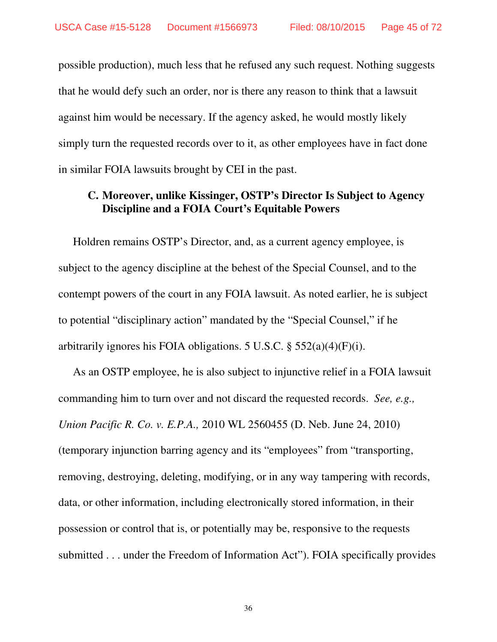possible production), much less that he refused any such request. Nothing suggests that he would defy such an order, nor is there any reason to think that a lawsuit against him would be necessary. If the agency asked, he would mostly likely simply turn the requested records over to it, as other employees have in fact done in similar FOIA lawsuits brought by CEI in the past.

#### **C. Moreover, unlike Kissinger, OSTP's Director Is Subject to Agency Discipline and a FOIA Court's Equitable Powers**

Holdren remains OSTP's Director, and, as a current agency employee, is subject to the agency discipline at the behest of the Special Counsel, and to the contempt powers of the court in any FOIA lawsuit. As noted earlier, he is subject to potential "disciplinary action" mandated by the "Special Counsel," if he arbitrarily ignores his FOIA obligations. 5 U.S.C.  $\S$  552(a)(4)(F)(i).

As an OSTP employee, he is also subject to injunctive relief in a FOIA lawsuit commanding him to turn over and not discard the requested records. *See, e.g., Union Pacific R. Co. v. E.P.A.,* 2010 WL 2560455 (D. Neb. June 24, 2010) (temporary injunction barring agency and its "employees" from "transporting, removing, destroying, deleting, modifying, or in any way tampering with records, data, or other information, including electronically stored information, in their possession or control that is, or potentially may be, responsive to the requests submitted . . . under the Freedom of Information Act"). FOIA specifically provides

36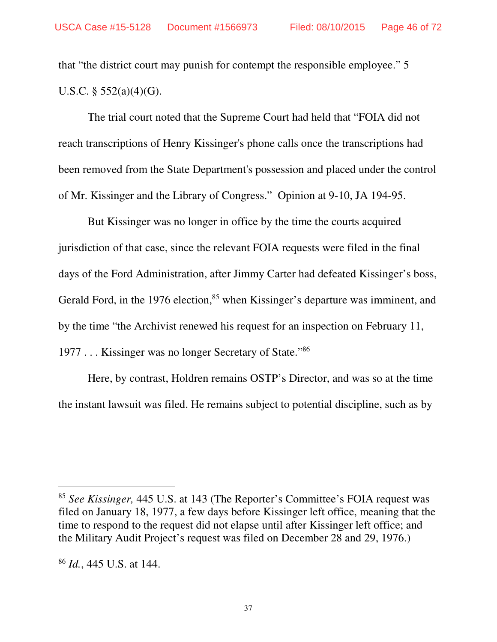that "the district court may punish for contempt the responsible employee." 5 U.S.C. § 552(a)(4)(G).

The trial court noted that the Supreme Court had held that "FOIA did not reach transcriptions of Henry Kissinger's phone calls once the transcriptions had been removed from the State Department's possession and placed under the control of Mr. Kissinger and the Library of Congress." Opinion at 9-10, JA 194-95.

But Kissinger was no longer in office by the time the courts acquired jurisdiction of that case, since the relevant FOIA requests were filed in the final days of the Ford Administration, after Jimmy Carter had defeated Kissinger's boss, Gerald Ford, in the 1976 election,<sup>85</sup> when Kissinger's departure was imminent, and by the time "the Archivist renewed his request for an inspection on February 11, 1977 . . . Kissinger was no longer Secretary of State."86

Here, by contrast, Holdren remains OSTP's Director, and was so at the time the instant lawsuit was filed. He remains subject to potential discipline, such as by

<sup>85</sup> *See Kissinger,* 445 U.S. at 143 (The Reporter's Committee's FOIA request was filed on January 18, 1977, a few days before Kissinger left office, meaning that the time to respond to the request did not elapse until after Kissinger left office; and the Military Audit Project's request was filed on December 28 and 29, 1976.)

<sup>86</sup> *Id.*, 445 U.S. at 144.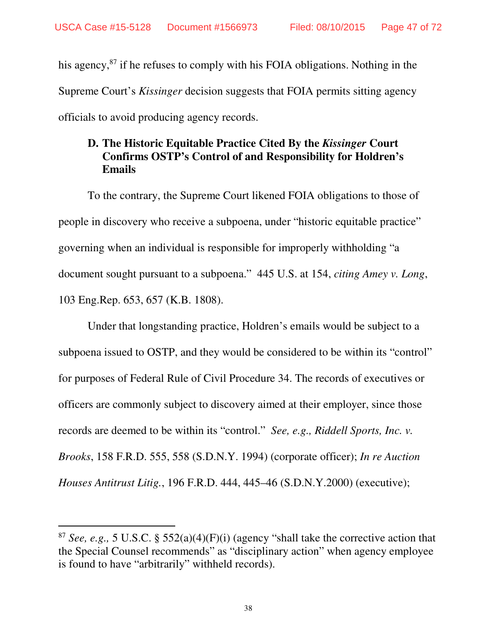his agency, $87$  if he refuses to comply with his FOIA obligations. Nothing in the Supreme Court's *Kissinger* decision suggests that FOIA permits sitting agency officials to avoid producing agency records.

#### **D. The Historic Equitable Practice Cited By the** *Kissinger* **Court Confirms OSTP's Control of and Responsibility for Holdren's Emails**

To the contrary, the Supreme Court likened FOIA obligations to those of people in discovery who receive a subpoena, under "historic equitable practice" governing when an individual is responsible for improperly withholding "a document sought pursuant to a subpoena." 445 U.S. at 154, *citing Amey v. Long*, 103 Eng.Rep. 653, 657 (K.B. 1808).

Under that longstanding practice, Holdren's emails would be subject to a subpoena issued to OSTP, and they would be considered to be within its "control" for purposes of Federal Rule of Civil Procedure 34. The records of executives or officers are commonly subject to discovery aimed at their employer, since those records are deemed to be within its "control." *See, e.g., Riddell Sports, Inc. v. Brooks*, 158 F.R.D. 555, 558 (S.D.N.Y. 1994) (corporate officer); *In re Auction Houses Antitrust Litig.*, 196 F.R.D. 444, 445–46 (S.D.N.Y.2000) (executive);

-

<sup>87</sup> *See, e.g.,* 5 U.S.C. § 552(a)(4)(F)(i) (agency "shall take the corrective action that the Special Counsel recommends" as "disciplinary action" when agency employee is found to have "arbitrarily" withheld records).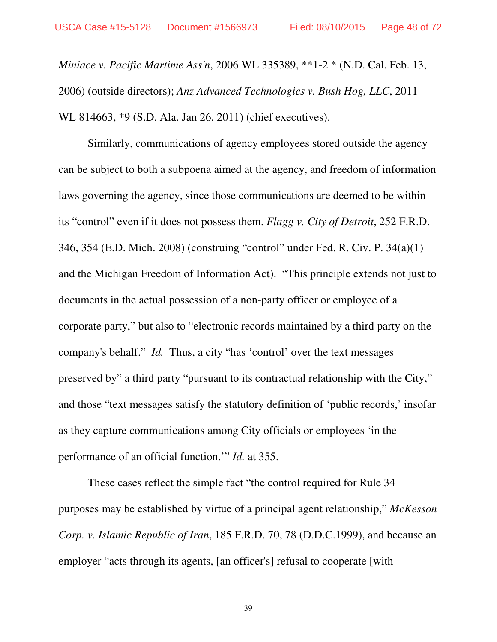*Miniace v. Pacific Martime Ass'n*, 2006 WL 335389, \*\*1-2 \* (N.D. Cal. Feb. 13, 2006) (outside directors); *Anz Advanced Technologies v. Bush Hog, LLC*, 2011 WL 814663, \*9 (S.D. Ala. Jan 26, 2011) (chief executives).

 Similarly, communications of agency employees stored outside the agency can be subject to both a subpoena aimed at the agency, and freedom of information laws governing the agency, since those communications are deemed to be within its "control" even if it does not possess them. *Flagg v. City of Detroit*, 252 F.R.D. 346, 354 (E.D. Mich. 2008) (construing "control" under Fed. R. Civ. P. 34(a)(1) and the Michigan Freedom of Information Act). "This principle extends not just to documents in the actual possession of a non-party officer or employee of a corporate party," but also to "electronic records maintained by a third party on the company's behalf." *Id.* Thus, a city "has 'control' over the text messages preserved by" a third party "pursuant to its contractual relationship with the City," and those "text messages satisfy the statutory definition of 'public records,' insofar as they capture communications among City officials or employees 'in the performance of an official function.'" *Id.* at 355.

 These cases reflect the simple fact "the control required for Rule 34 purposes may be established by virtue of a principal agent relationship," *McKesson Corp. v. Islamic Republic of Iran*, 185 F.R.D. 70, 78 (D.D.C.1999), and because an employer "acts through its agents, [an officer's] refusal to cooperate [with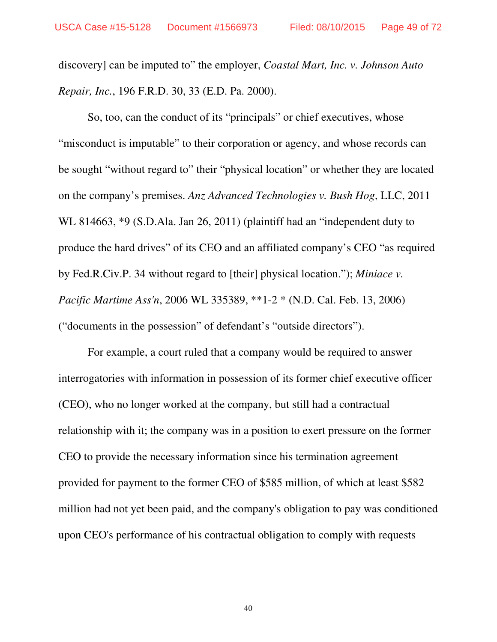discovery] can be imputed to" the employer, *Coastal Mart, Inc. v. Johnson Auto Repair, Inc.*, 196 F.R.D. 30, 33 (E.D. Pa. 2000).

So, too, can the conduct of its "principals" or chief executives, whose "misconduct is imputable" to their corporation or agency, and whose records can be sought "without regard to" their "physical location" or whether they are located on the company's premises. *Anz Advanced Technologies v. Bush Hog*, LLC, 2011 WL 814663, \*9 (S.D.Ala. Jan 26, 2011) (plaintiff had an "independent duty to produce the hard drives" of its CEO and an affiliated company's CEO "as required by Fed.R.Civ.P. 34 without regard to [their] physical location."); *Miniace v. Pacific Martime Ass'n*, 2006 WL 335389, \*\*1-2 \* (N.D. Cal. Feb. 13, 2006) ("documents in the possession" of defendant's "outside directors").

For example, a court ruled that a company would be required to answer interrogatories with information in possession of its former chief executive officer (CEO), who no longer worked at the company, but still had a contractual relationship with it; the company was in a position to exert pressure on the former CEO to provide the necessary information since his termination agreement provided for payment to the former CEO of \$585 million, of which at least \$582 million had not yet been paid, and the company's obligation to pay was conditioned upon CEO's performance of his contractual obligation to comply with requests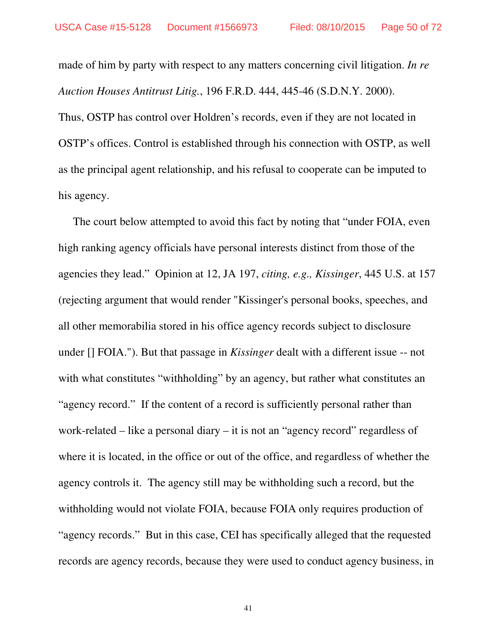made of him by party with respect to any matters concerning civil litigation. *In re Auction Houses Antitrust Litig.*, 196 F.R.D. 444, 445-46 (S.D.N.Y. 2000). Thus, OSTP has control over Holdren's records, even if they are not located in OSTP's offices. Control is established through his connection with OSTP, as well as the principal agent relationship, and his refusal to cooperate can be imputed to his agency.

The court below attempted to avoid this fact by noting that "under FOIA, even high ranking agency officials have personal interests distinct from those of the agencies they lead." Opinion at 12, JA 197, *citing, e.g., Kissinger*, 445 U.S. at 157 (rejecting argument that would render "Kissinger's personal books, speeches, and all other memorabilia stored in his office agency records subject to disclosure under [] FOIA."). But that passage in *Kissinger* dealt with a different issue -- not with what constitutes "withholding" by an agency, but rather what constitutes an "agency record." If the content of a record is sufficiently personal rather than work-related – like a personal diary – it is not an "agency record" regardless of where it is located, in the office or out of the office, and regardless of whether the agency controls it. The agency still may be withholding such a record, but the withholding would not violate FOIA, because FOIA only requires production of "agency records." But in this case, CEI has specifically alleged that the requested records are agency records, because they were used to conduct agency business, in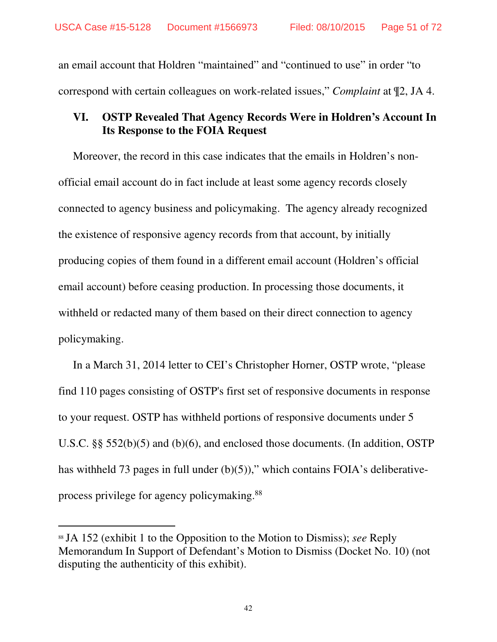an email account that Holdren "maintained" and "continued to use" in order "to correspond with certain colleagues on work-related issues," *Complaint* at ¶2, JA 4.

#### **VI. OSTP Revealed That Agency Records Were in Holdren's Account In Its Response to the FOIA Request**

Moreover, the record in this case indicates that the emails in Holdren's nonofficial email account do in fact include at least some agency records closely connected to agency business and policymaking. The agency already recognized the existence of responsive agency records from that account, by initially producing copies of them found in a different email account (Holdren's official email account) before ceasing production. In processing those documents, it withheld or redacted many of them based on their direct connection to agency policymaking.

In a March 31, 2014 letter to CEI's Christopher Horner, OSTP wrote, "please find 110 pages consisting of OSTP's first set of responsive documents in response to your request. OSTP has withheld portions of responsive documents under 5 U.S.C. §§ 552(b)(5) and (b)(6), and enclosed those documents. (In addition, OSTP has withheld 73 pages in full under (b)(5))," which contains FOIA's deliberativeprocess privilege for agency policymaking.<sup>88</sup>

-

<sup>88</sup> JA 152 (exhibit 1 to the Opposition to the Motion to Dismiss); *see* Reply Memorandum In Support of Defendant's Motion to Dismiss (Docket No. 10) (not disputing the authenticity of this exhibit).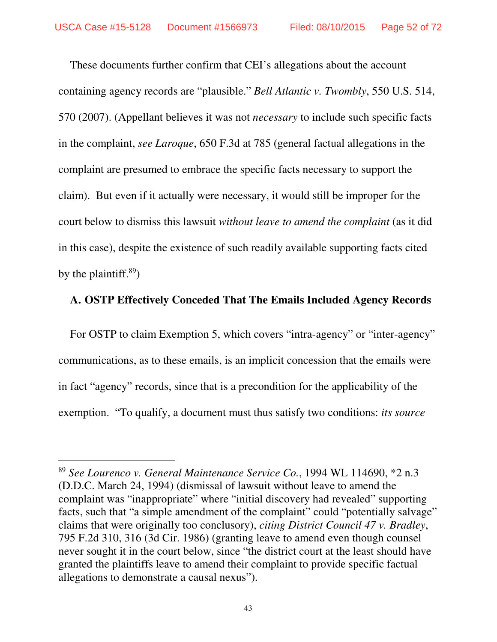These documents further confirm that CEI's allegations about the account containing agency records are "plausible." *Bell Atlantic v. Twombly*, 550 U.S. 514, 570 (2007). (Appellant believes it was not *necessary* to include such specific facts in the complaint, *see Laroque*, 650 F.3d at 785 (general factual allegations in the complaint are presumed to embrace the specific facts necessary to support the claim). But even if it actually were necessary, it would still be improper for the court below to dismiss this lawsuit *without leave to amend the complaint* (as it did in this case), despite the existence of such readily available supporting facts cited by the plaintiff. $89$ )

#### **A. OSTP Effectively Conceded That The Emails Included Agency Records**

For OSTP to claim Exemption 5, which covers "intra-agency" or "inter-agency" communications, as to these emails, is an implicit concession that the emails were in fact "agency" records, since that is a precondition for the applicability of the exemption. "To qualify, a document must thus satisfy two conditions: *its source* 

-

<sup>89</sup> *See Lourenco v. General Maintenance Service Co.*, 1994 WL 114690, \*2 n.3 (D.D.C. March 24, 1994) (dismissal of lawsuit without leave to amend the complaint was "inappropriate" where "initial discovery had revealed" supporting facts, such that "a simple amendment of the complaint" could "potentially salvage" claims that were originally too conclusory), *citing District Council 47 v. Bradley*, 795 F.2d 310, 316 (3d Cir. 1986) (granting leave to amend even though counsel never sought it in the court below, since "the district court at the least should have granted the plaintiffs leave to amend their complaint to provide specific factual allegations to demonstrate a causal nexus").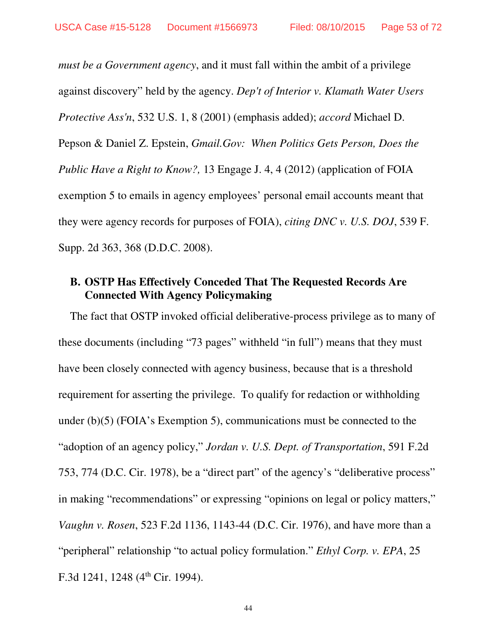*must be a Government agency*, and it must fall within the ambit of a privilege against discovery" held by the agency. *Dep't of Interior v. Klamath Water Users Protective Ass'n*, 532 U.S. 1, 8 (2001) (emphasis added); *accord* Michael D. Pepson & Daniel Z. Epstein, *Gmail.Gov: When Politics Gets Person, Does the Public Have a Right to Know?,* 13 Engage J. 4, 4 (2012) (application of FOIA exemption 5 to emails in agency employees' personal email accounts meant that they were agency records for purposes of FOIA), *citing DNC v. U.S. DOJ*, 539 F. Supp. 2d 363, 368 (D.D.C. 2008).

#### **B. OSTP Has Effectively Conceded That The Requested Records Are Connected With Agency Policymaking**

The fact that OSTP invoked official deliberative-process privilege as to many of these documents (including "73 pages" withheld "in full") means that they must have been closely connected with agency business, because that is a threshold requirement for asserting the privilege. To qualify for redaction or withholding under (b)(5) (FOIA's Exemption 5), communications must be connected to the "adoption of an agency policy," *Jordan v. U.S. Dept. of Transportation*, 591 F.2d 753, 774 (D.C. Cir. 1978), be a "direct part" of the agency's "deliberative process" in making "recommendations" or expressing "opinions on legal or policy matters," *Vaughn v. Rosen*, 523 F.2d 1136, 1143-44 (D.C. Cir. 1976), and have more than a "peripheral" relationship "to actual policy formulation." *Ethyl Corp. v. EPA*, 25 F.3d 1241, 1248 ( $4<sup>th</sup>$  Cir. 1994).

44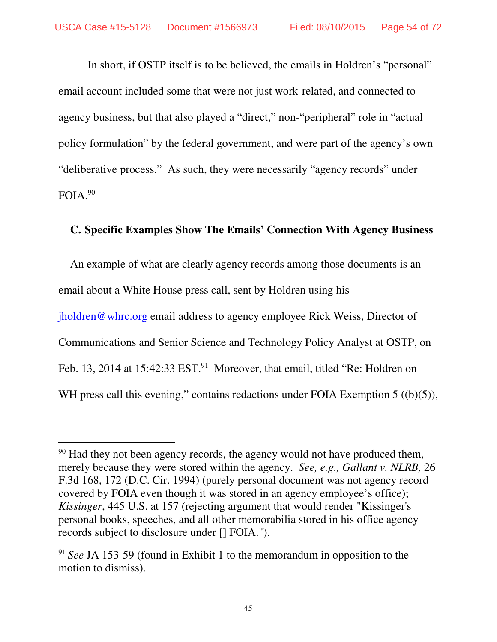In short, if OSTP itself is to be believed, the emails in Holdren's "personal" email account included some that were not just work-related, and connected to agency business, but that also played a "direct," non-"peripheral" role in "actual policy formulation" by the federal government, and were part of the agency's own "deliberative process." As such, they were necessarily "agency records" under FOIA.<sup>90</sup>

#### **C. Specific Examples Show The Emails' Connection With Agency Business**

An example of what are clearly agency records among those documents is an email about a White House press call, sent by Holdren using his jholdren@whrc.org email address to agency employee Rick Weiss, Director of Communications and Senior Science and Technology Policy Analyst at OSTP, on Feb. 13, 2014 at 15:42:33 EST.<sup>91</sup> Moreover, that email, titled "Re: Holdren on WH press call this evening," contains redactions under FOIA Exemption 5 ((b)(5)),

<sup>&</sup>lt;sup>90</sup> Had they not been agency records, the agency would not have produced them, merely because they were stored within the agency. *See, e.g., Gallant v. NLRB,* 26 F.3d 168, 172 (D.C. Cir. 1994) (purely personal document was not agency record covered by FOIA even though it was stored in an agency employee's office); *Kissinger*, 445 U.S. at 157 (rejecting argument that would render "Kissinger's personal books, speeches, and all other memorabilia stored in his office agency records subject to disclosure under [] FOIA.").

<sup>91</sup> *See* JA 153-59 (found in Exhibit 1 to the memorandum in opposition to the motion to dismiss).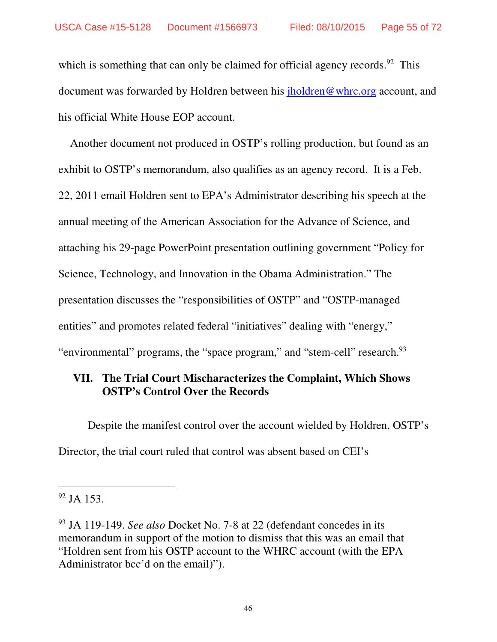which is something that can only be claimed for official agency records.<sup>92</sup> This document was forwarded by Holdren between his jholdren@whrc.org account, and his official White House EOP account.

Another document not produced in OSTP's rolling production, but found as an exhibit to OSTP's memorandum, also qualifies as an agency record. It is a Feb. 22, 2011 email Holdren sent to EPA's Administrator describing his speech at the annual meeting of the American Association for the Advance of Science, and attaching his 29-page PowerPoint presentation outlining government "Policy for Science, Technology, and Innovation in the Obama Administration." The presentation discusses the "responsibilities of OSTP" and "OSTP-managed entities" and promotes related federal "initiatives" dealing with "energy," "environmental" programs, the "space program," and "stem-cell" research.<sup>93</sup>

#### **VII. The Trial Court Mischaracterizes the Complaint, Which Shows OSTP's Control Over the Records**

 Despite the manifest control over the account wielded by Holdren, OSTP's Director, the trial court ruled that control was absent based on CEI's

 $92$  JA 153.

<sup>93</sup> JA 119-149. *See also* Docket No. 7-8 at 22 (defendant concedes in its memorandum in support of the motion to dismiss that this was an email that "Holdren sent from his OSTP account to the WHRC account (with the EPA Administrator bcc'd on the email)".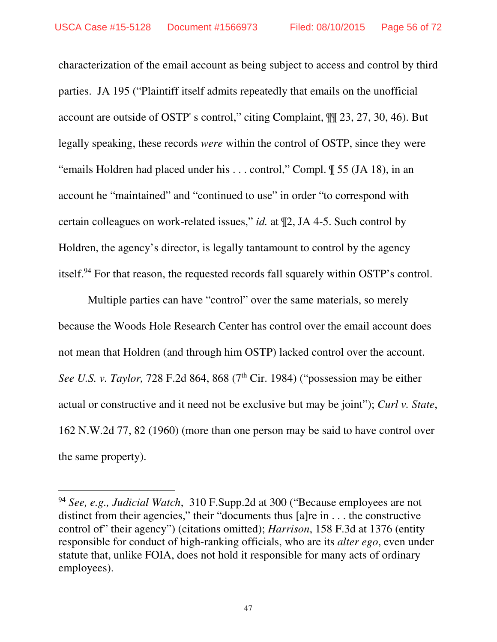characterization of the email account as being subject to access and control by third parties. JA 195 ("Plaintiff itself admits repeatedly that emails on the unofficial account are outside of OSTP' s control," citing Complaint, ¶¶ 23, 27, 30, 46). But legally speaking, these records *were* within the control of OSTP, since they were "emails Holdren had placed under his . . . control," Compl. ¶ 55 (JA 18), in an account he "maintained" and "continued to use" in order "to correspond with certain colleagues on work-related issues," *id.* at ¶2, JA 4-5. Such control by Holdren, the agency's director, is legally tantamount to control by the agency itself.<sup>94</sup> For that reason, the requested records fall squarely within OSTP's control.

Multiple parties can have "control" over the same materials, so merely because the Woods Hole Research Center has control over the email account does not mean that Holdren (and through him OSTP) lacked control over the account. *See U.S. v. Taylor, 728 F.2d 864, 868 (7<sup>th</sup> Cir. 1984) ("possession may be either* actual or constructive and it need not be exclusive but may be joint"); *Curl v. State*, 162 N.W.2d 77, 82 (1960) (more than one person may be said to have control over the same property).

<sup>94</sup> *See, e.g., Judicial Watch*, 310 F.Supp.2d at 300 ("Because employees are not distinct from their agencies," their "documents thus [a]re in . . . the constructive control of" their agency") (citations omitted); *Harrison*, 158 F.3d at 1376 (entity responsible for conduct of high-ranking officials, who are its *alter ego*, even under statute that, unlike FOIA, does not hold it responsible for many acts of ordinary employees).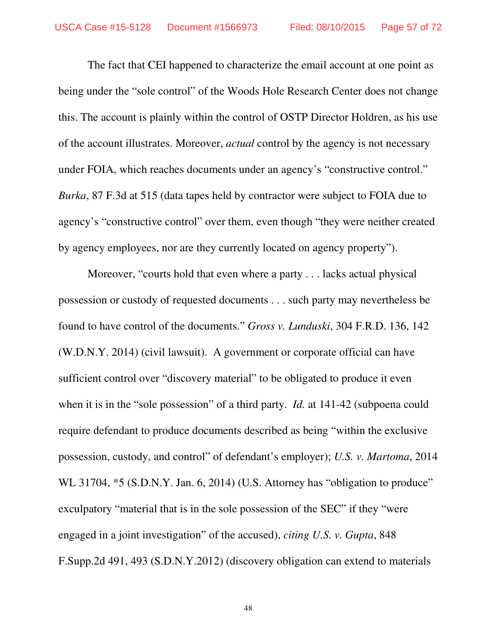The fact that CEI happened to characterize the email account at one point as being under the "sole control" of the Woods Hole Research Center does not change this. The account is plainly within the control of OSTP Director Holdren, as his use of the account illustrates. Moreover, *actual* control by the agency is not necessary under FOIA, which reaches documents under an agency's "constructive control." *Burka*, 87 F.3d at 515 (data tapes held by contractor were subject to FOIA due to agency's "constructive control" over them, even though "they were neither created by agency employees, nor are they currently located on agency property").

Moreover, "courts hold that even where a party . . . lacks actual physical possession or custody of requested documents . . . such party may nevertheless be found to have control of the documents." *Gross v. Lunduski*, 304 F.R.D. 136, 142 (W.D.N.Y. 2014) (civil lawsuit). A government or corporate official can have sufficient control over "discovery material" to be obligated to produce it even when it is in the "sole possession" of a third party. *Id.* at 141-42 (subpoena could require defendant to produce documents described as being "within the exclusive possession, custody, and control" of defendant's employer); *U.S. v. Martoma*, 2014 WL 31704,  $*5$  (S.D.N.Y. Jan. 6, 2014) (U.S. Attorney has "obligation to produce" exculpatory "material that is in the sole possession of the SEC" if they "were engaged in a joint investigation" of the accused), *citing U.S. v. Gupta*, 848 F.Supp.2d 491, 493 (S.D.N.Y.2012) (discovery obligation can extend to materials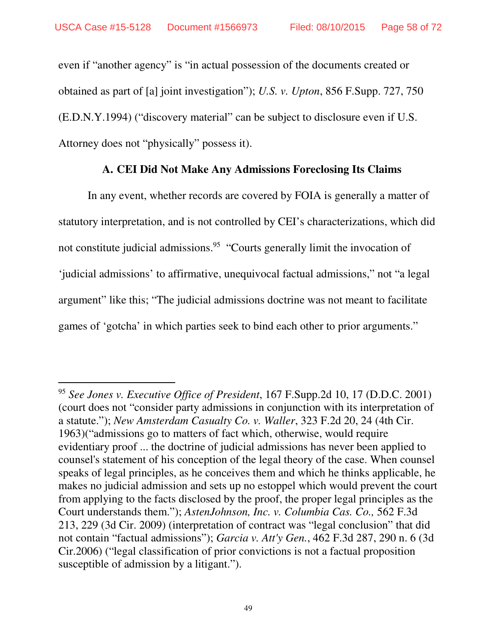$\overline{a}$ 

even if "another agency" is "in actual possession of the documents created or obtained as part of [a] joint investigation"); *U.S. v. Upton*, 856 F.Supp. 727, 750 (E.D.N.Y.1994) ("discovery material" can be subject to disclosure even if U.S. Attorney does not "physically" possess it).

#### **A. CEI Did Not Make Any Admissions Foreclosing Its Claims**

 In any event, whether records are covered by FOIA is generally a matter of statutory interpretation, and is not controlled by CEI's characterizations, which did not constitute judicial admissions.<sup>95</sup> "Courts generally limit the invocation of 'judicial admissions' to affirmative, unequivocal factual admissions," not "a legal argument" like this; "The judicial admissions doctrine was not meant to facilitate games of 'gotcha' in which parties seek to bind each other to prior arguments."

<sup>95</sup> *See Jones v. Executive Office of President*, 167 F.Supp.2d 10, 17 (D.D.C. 2001) (court does not "consider party admissions in conjunction with its interpretation of a statute."); *New Amsterdam Casualty Co. v. Waller*, 323 F.2d 20, 24 (4th Cir. 1963)("admissions go to matters of fact which, otherwise, would require evidentiary proof ... the doctrine of judicial admissions has never been applied to counsel's statement of his conception of the legal theory of the case. When counsel speaks of legal principles, as he conceives them and which he thinks applicable, he makes no judicial admission and sets up no estoppel which would prevent the court from applying to the facts disclosed by the proof, the proper legal principles as the Court understands them."); *AstenJohnson, Inc. v. Columbia Cas. Co.,* 562 F.3d 213, 229 (3d Cir. 2009) (interpretation of contract was "legal conclusion" that did not contain "factual admissions"); *Garcia v. Att'y Gen.*, 462 F.3d 287, 290 n. 6 (3d Cir.2006) ("legal classification of prior convictions is not a factual proposition susceptible of admission by a litigant.").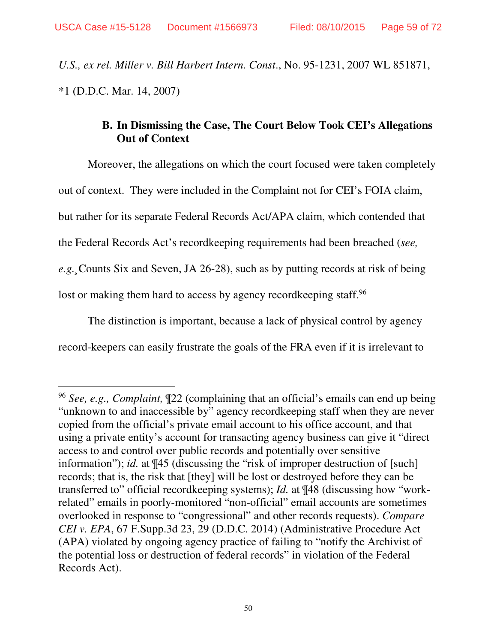$\overline{a}$ 

*U.S., ex rel. Miller v. Bill Harbert Intern. Const*., No. 95-1231, 2007 WL 851871, \*1 (D.D.C. Mar. 14, 2007)

#### **B. In Dismissing the Case, The Court Below Took CEI's Allegations Out of Context**

 Moreover, the allegations on which the court focused were taken completely out of context. They were included in the Complaint not for CEI's FOIA claim, but rather for its separate Federal Records Act/APA claim, which contended that the Federal Records Act's recordkeeping requirements had been breached (*see, e.g.¸*Counts Six and Seven, JA 26-28), such as by putting records at risk of being lost or making them hard to access by agency recordkeeping staff.<sup>96</sup>

The distinction is important, because a lack of physical control by agency record-keepers can easily frustrate the goals of the FRA even if it is irrelevant to

<sup>96</sup> *See, e.g., Complaint,* ¶22 (complaining that an official's emails can end up being "unknown to and inaccessible by" agency recordkeeping staff when they are never copied from the official's private email account to his office account, and that using a private entity's account for transacting agency business can give it "direct access to and control over public records and potentially over sensitive information"); *id.* at  $\P{45}$  (discussing the "risk of improper destruction of [such] records; that is, the risk that [they] will be lost or destroyed before they can be transferred to" official recordkeeping systems); *Id.* at ¶48 (discussing how "workrelated" emails in poorly-monitored "non-official" email accounts are sometimes overlooked in response to "congressional" and other records requests). *Compare CEI v. EPA*, 67 F.Supp.3d 23, 29 (D.D.C. 2014) (Administrative Procedure Act (APA) violated by ongoing agency practice of failing to "notify the Archivist of the potential loss or destruction of federal records" in violation of the Federal Records Act).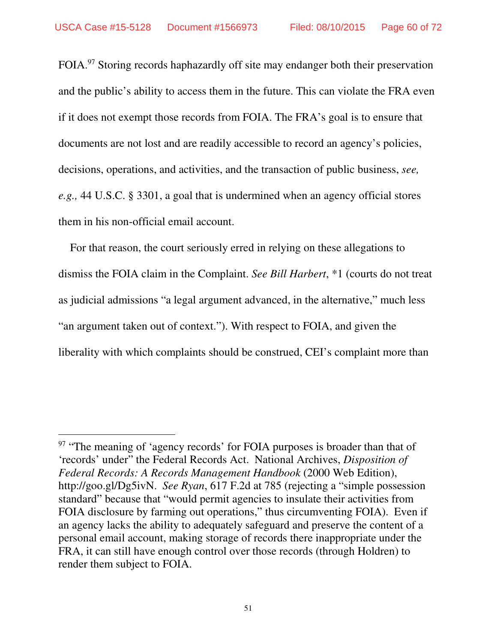FOIA.<sup>97</sup> Storing records haphazardly off site may endanger both their preservation and the public's ability to access them in the future. This can violate the FRA even if it does not exempt those records from FOIA. The FRA's goal is to ensure that documents are not lost and are readily accessible to record an agency's policies, decisions, operations, and activities, and the transaction of public business, *see, e.g.,* 44 U.S.C. § 3301, a goal that is undermined when an agency official stores them in his non-official email account.

For that reason, the court seriously erred in relying on these allegations to dismiss the FOIA claim in the Complaint. *See Bill Harbert*, \*1 (courts do not treat as judicial admissions "a legal argument advanced, in the alternative," much less "an argument taken out of context."). With respect to FOIA, and given the liberality with which complaints should be construed, CEI's complaint more than

-

<sup>&</sup>lt;sup>97</sup> "The meaning of 'agency records' for FOIA purposes is broader than that of 'records' under" the Federal Records Act. National Archives, *Disposition of Federal Records: A Records Management Handbook* (2000 Web Edition), http://goo.gl/Dg5ivN. *See Ryan*, 617 F.2d at 785 (rejecting a "simple possession standard" because that "would permit agencies to insulate their activities from FOIA disclosure by farming out operations," thus circumventing FOIA). Even if an agency lacks the ability to adequately safeguard and preserve the content of a personal email account, making storage of records there inappropriate under the FRA, it can still have enough control over those records (through Holdren) to render them subject to FOIA.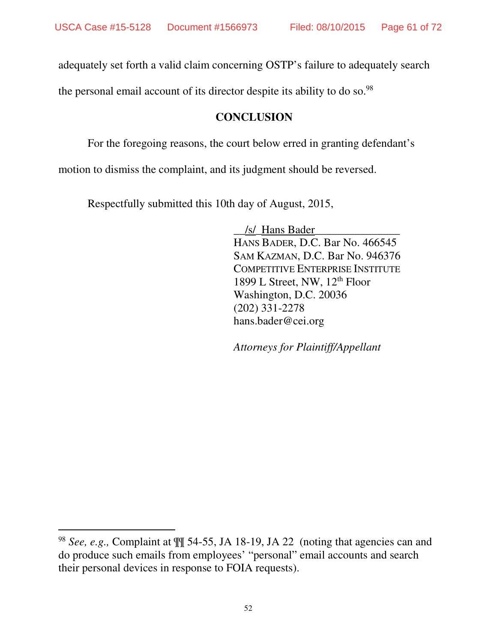adequately set forth a valid claim concerning OSTP's failure to adequately search

the personal email account of its director despite its ability to do so.<sup>98</sup>

#### **CONCLUSION**

For the foregoing reasons, the court below erred in granting defendant's

motion to dismiss the complaint, and its judgment should be reversed.

Respectfully submitted this 10th day of August, 2015,

\_\_/s/\_Hans Bader\_\_\_\_\_\_\_\_\_\_\_\_\_\_\_ HANS BADER, D.C. Bar No. 466545 SAM KAZMAN, D.C. Bar No. 946376 COMPETITIVE ENTERPRISE INSTITUTE 1899 L Street, NW,  $12<sup>th</sup>$  Floor Washington, D.C. 20036 (202) 331-2278 hans.bader@cei.org

*Attorneys for Plaintiff/Appellant*

<sup>98</sup> *See, e.g.,* Complaint at ¶¶ 54-55, JA 18-19, JA 22 (noting that agencies can and do produce such emails from employees' "personal" email accounts and search their personal devices in response to FOIA requests).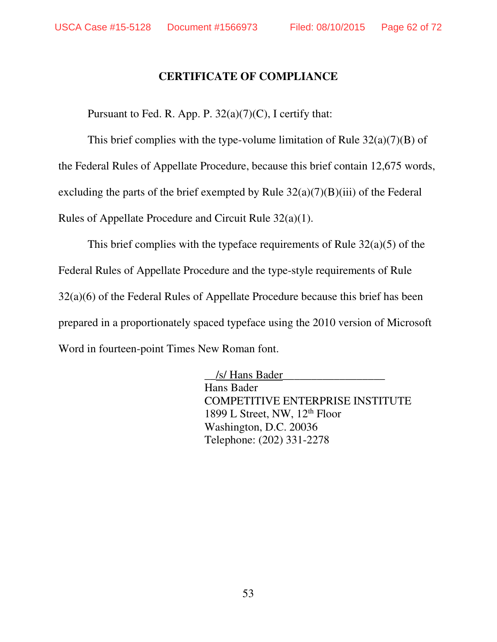#### **CERTIFICATE OF COMPLIANCE**

Pursuant to Fed. R. App. P.  $32(a)(7)(C)$ , I certify that:

This brief complies with the type-volume limitation of Rule  $32(a)(7)(B)$  of the Federal Rules of Appellate Procedure, because this brief contain 12,675 words, excluding the parts of the brief exempted by Rule  $32(a)(7)(B)(iii)$  of the Federal Rules of Appellate Procedure and Circuit Rule 32(a)(1).

This brief complies with the typeface requirements of Rule  $32(a)(5)$  of the Federal Rules of Appellate Procedure and the type-style requirements of Rule 32(a)(6) of the Federal Rules of Appellate Procedure because this brief has been prepared in a proportionately spaced typeface using the 2010 version of Microsoft Word in fourteen-point Times New Roman font.

> \_\_/s/ Hans Bader\_\_\_\_\_\_\_\_\_\_\_\_\_\_\_\_\_\_ Hans Bader COMPETITIVE ENTERPRISE INSTITUTE 1899 L Street, NW, 12<sup>th</sup> Floor Washington, D.C. 20036 Telephone: (202) 331-2278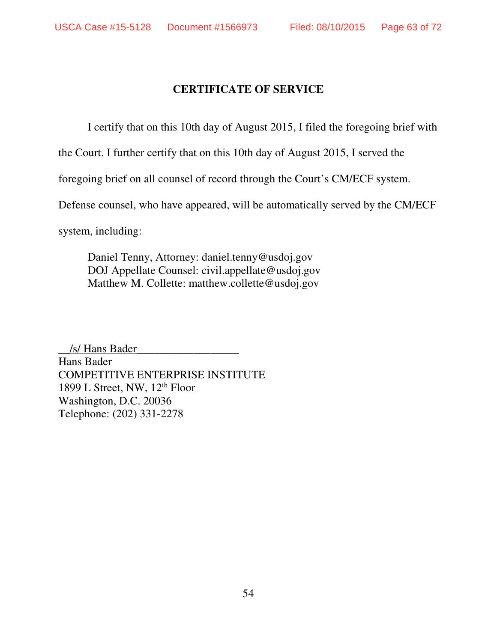#### **CERTIFICATE OF SERVICE**

I certify that on this 10th day of August 2015, I filed the foregoing brief with

the Court. I further certify that on this 10th day of August 2015, I served the

foregoing brief on all counsel of record through the Court's CM/ECF system.

Defense counsel, who have appeared, will be automatically served by the CM/ECF

system, including:

Daniel Tenny, Attorney: daniel.tenny@usdoj.gov DOJ Appellate Counsel: civil.appellate@usdoj.gov Matthew M. Collette: matthew.collette@usdoj.gov

\_\_/s/ Hans Bader\_\_\_\_\_\_\_\_\_\_\_\_\_\_\_\_\_\_ Hans Bader COMPETITIVE ENTERPRISE INSTITUTE 1899 L Street, NW, 12th Floor Washington, D.C. 20036 Telephone: (202) 331-2278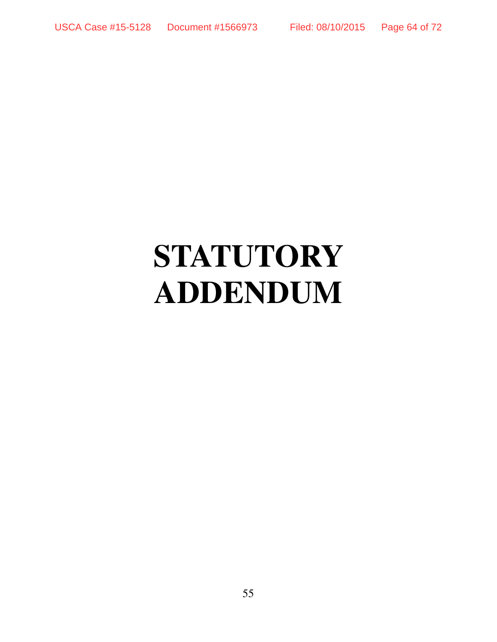# **STATUTORY ADDENDUM**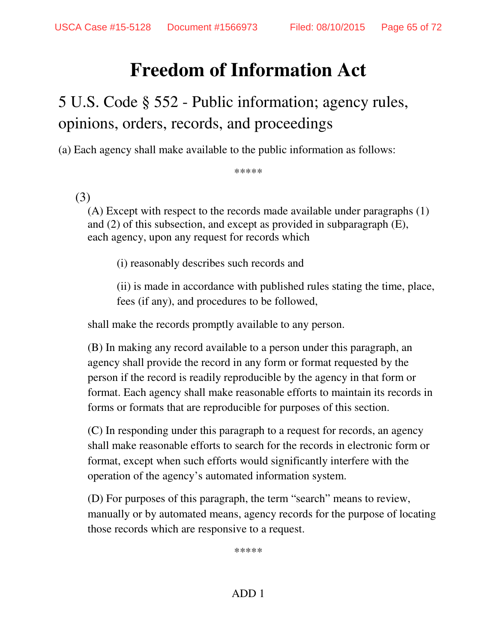## **Freedom of Information Act**

## 5 U.S. Code § 552 - Public information; agency rules, opinions, orders, records, and proceedings

(a) Each agency shall make available to the public information as follows:

\*\*\*\*\*

#### (3)

(A) Except with respect to the records made available under paragraphs (1) and (2) of this subsection, and except as provided in subparagraph (E), each agency, upon any request for records which

(i) reasonably describes such records and

(ii) is made in accordance with published rules stating the time, place, fees (if any), and procedures to be followed,

shall make the records promptly available to any person.

(B) In making any record available to a person under this paragraph, an agency shall provide the record in any form or format requested by the person if the record is readily reproducible by the agency in that form or format. Each agency shall make reasonable efforts to maintain its records in forms or formats that are reproducible for purposes of this section.

(C) In responding under this paragraph to a request for records, an agency shall make reasonable efforts to search for the records in electronic form or format, except when such efforts would significantly interfere with the operation of the agency's automated information system.

(D) For purposes of this paragraph, the term "search" means to review, manually or by automated means, agency records for the purpose of locating those records which are responsive to a request.

\*\*\*\*\*

#### ADD 1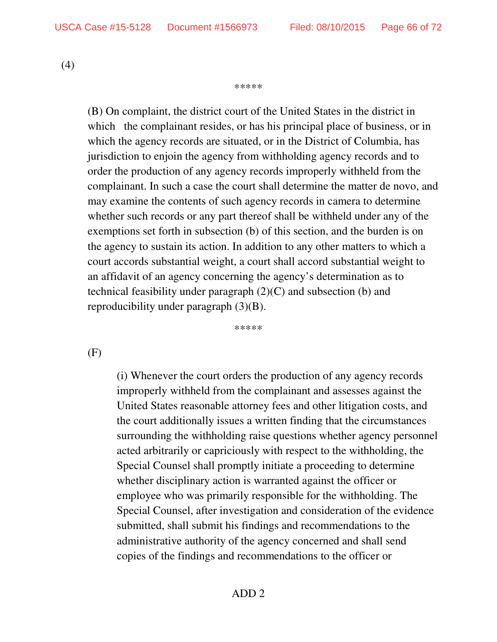may examine the contents of such agency records in camera to determine whether such records or any part thereof shall be withheld under any of the exemptions set forth in subsection (b) of this section, and the burden is on the agency to sustain its action. In addition to any other matters to which a

court accords substantial weight, a court shall accord substantial weight to an affidavit of an agency concerning the agency's determination as to technical feasibility under paragraph (2)(C) and subsection (b) and reproducibility under paragraph (3)(B).

\*\*\*\*\*

(F)

(i) Whenever the court orders the production of any agency records improperly withheld from the complainant and assesses against the United States reasonable attorney fees and other litigation costs, and the court additionally issues a written finding that the circumstances surrounding the withholding raise questions whether agency personnel acted arbitrarily or capriciously with respect to the withholding, the Special Counsel shall promptly initiate a proceeding to determine whether disciplinary action is warranted against the officer or employee who was primarily responsible for the withholding. The Special Counsel, after investigation and consideration of the evidence submitted, shall submit his findings and recommendations to the administrative authority of the agency concerned and shall send copies of the findings and recommendations to the officer or

(4)

#### \*\*\*\*\*

(B) On complaint, the district court of the United States in the district in

which the agency records are situated, or in the District of Columbia, has jurisdiction to enjoin the agency from withholding agency records and to order the production of any agency records improperly withheld from the

which the complainant resides, or has his principal place of business, or in

complainant. In such a case the court shall determine the matter de novo, and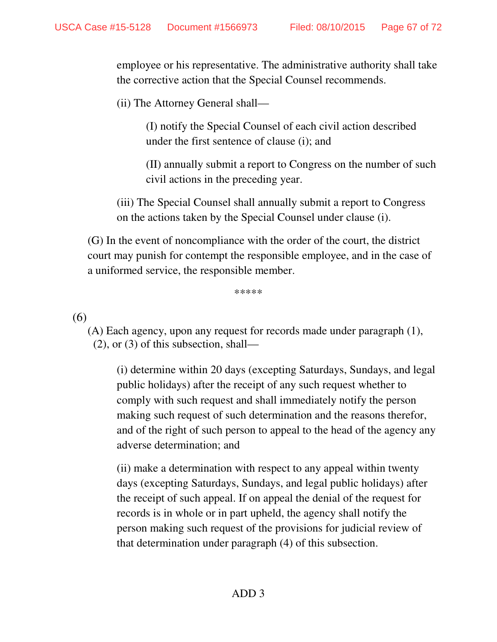employee or his representative. The administrative authority shall take the corrective action that the Special Counsel recommends.

(ii) The Attorney General shall—

(I) notify the Special Counsel of each civil action described under the first sentence of clause (i); and

(II) annually submit a report to Congress on the number of such civil actions in the preceding year.

(iii) The Special Counsel shall annually submit a report to Congress on the actions taken by the Special Counsel under clause (i).

(G) In the event of noncompliance with the order of the court, the district court may punish for contempt the responsible employee, and in the case of a uniformed service, the responsible member.

\*\*\*\*\*

(6)

(A) Each agency, upon any request for records made under paragraph (1), (2), or (3) of this subsection, shall—

(i) determine within 20 days (excepting Saturdays, Sundays, and legal public holidays) after the receipt of any such request whether to comply with such request and shall immediately notify the person making such request of such determination and the reasons therefor, and of the right of such person to appeal to the head of the agency any adverse determination; and

(ii) make a determination with respect to any appeal within twenty days (excepting Saturdays, Sundays, and legal public holidays) after the receipt of such appeal. If on appeal the denial of the request for records is in whole or in part upheld, the agency shall notify the person making such request of the provisions for judicial review of that determination under paragraph (4) of this subsection.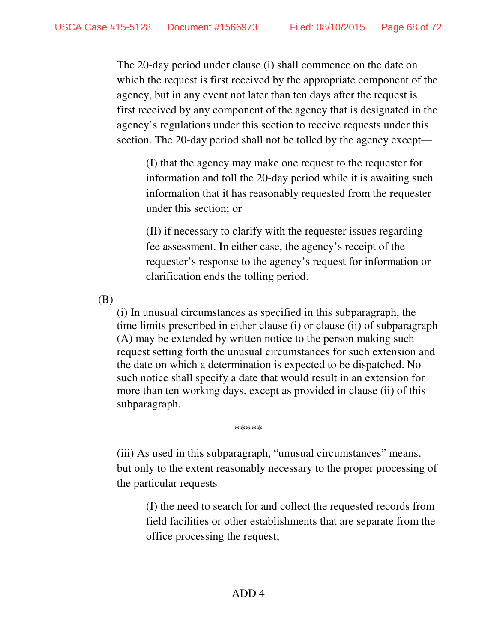The 20-day period under clause (i) shall commence on the date on which the request is first received by the appropriate component of the agency, but in any event not later than ten days after the request is first received by any component of the agency that is designated in the agency's regulations under this section to receive requests under this section. The 20-day period shall not be tolled by the agency except—

(I) that the agency may make one request to the requester for information and toll the 20-day period while it is awaiting such information that it has reasonably requested from the requester under this section; or

(II) if necessary to clarify with the requester issues regarding fee assessment. In either case, the agency's receipt of the requester's response to the agency's request for information or clarification ends the tolling period.

(B)

(i) In unusual circumstances as specified in this subparagraph, the time limits prescribed in either clause (i) or clause (ii) of subparagraph (A) may be extended by written notice to the person making such request setting forth the unusual circumstances for such extension and the date on which a determination is expected to be dispatched. No such notice shall specify a date that would result in an extension for more than ten working days, except as provided in clause (ii) of this subparagraph.

\*\*\*\*\*

(iii) As used in this subparagraph, "unusual circumstances" means, but only to the extent reasonably necessary to the proper processing of the particular requests—

(I) the need to search for and collect the requested records from field facilities or other establishments that are separate from the office processing the request;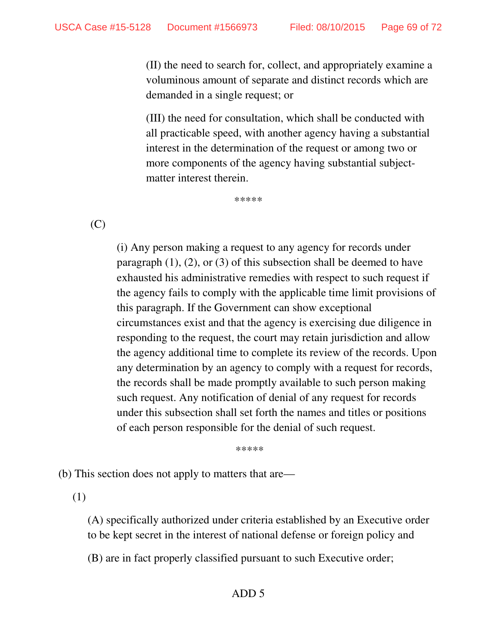(II) the need to search for, collect, and appropriately examine a voluminous amount of separate and distinct records which are demanded in a single request; or

(III) the need for consultation, which shall be conducted with all practicable speed, with another agency having a substantial interest in the determination of the request or among two or more components of the agency having substantial subjectmatter interest therein.

\*\*\*\*\*

(C)

(i) Any person making a request to any agency for records under paragraph  $(1)$ ,  $(2)$ , or  $(3)$  of this subsection shall be deemed to have exhausted his administrative remedies with respect to such request if the agency fails to comply with the applicable time limit provisions of this paragraph. If the Government can show exceptional circumstances exist and that the agency is exercising due diligence in responding to the request, the court may retain jurisdiction and allow the agency additional time to complete its review of the records. Upon any determination by an agency to comply with a request for records, the records shall be made promptly available to such person making such request. Any notification of denial of any request for records under this subsection shall set forth the names and titles or positions of each person responsible for the denial of such request.

\*\*\*\*\*

(b) This section does not apply to matters that are—

(1)

(A) specifically authorized under criteria established by an Executive order to be kept secret in the interest of national defense or foreign policy and

(B) are in fact properly classified pursuant to such Executive order;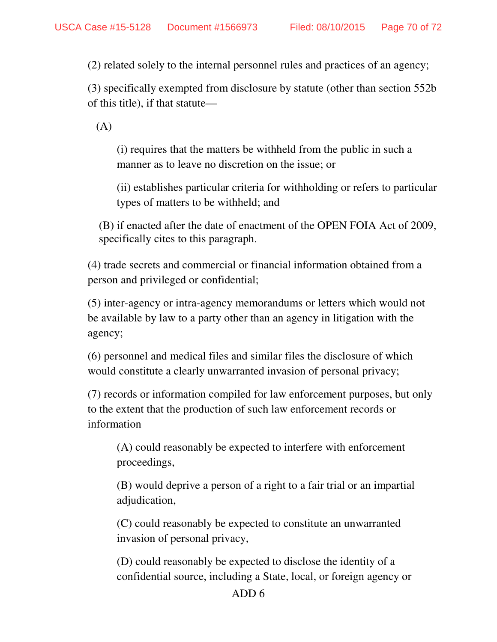(2) related solely to the internal personnel rules and practices of an agency;

(3) specifically exempted from disclosure by statute (other than section 552b of this title), if that statute—

(A)

(i) requires that the matters be withheld from the public in such a manner as to leave no discretion on the issue; or

(ii) establishes particular criteria for withholding or refers to particular types of matters to be withheld; and

 (B) if enacted after the date of enactment of the OPEN FOIA Act of 2009, specifically cites to this paragraph.

(4) trade secrets and commercial or financial information obtained from a person and privileged or confidential;

(5) inter-agency or intra-agency memorandums or letters which would not be available by law to a party other than an agency in litigation with the agency;

(6) personnel and medical files and similar files the disclosure of which would constitute a clearly unwarranted invasion of personal privacy;

(7) records or information compiled for law enforcement purposes, but only to the extent that the production of such law enforcement records or information

(A) could reasonably be expected to interfere with enforcement proceedings,

(B) would deprive a person of a right to a fair trial or an impartial adjudication,

(C) could reasonably be expected to constitute an unwarranted invasion of personal privacy,

(D) could reasonably be expected to disclose the identity of a confidential source, including a State, local, or foreign agency or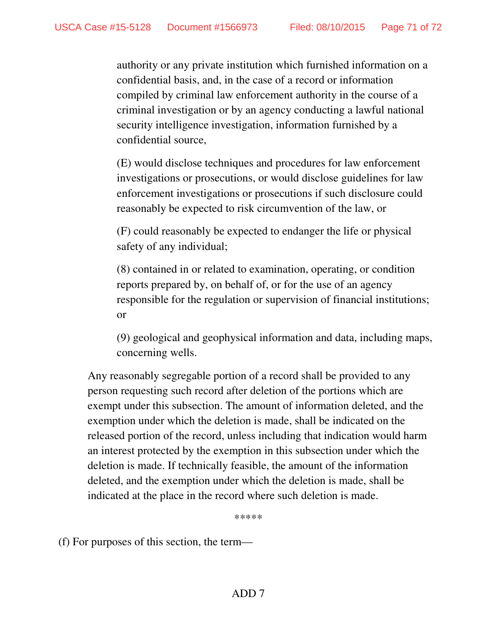authority or any private institution which furnished information on a confidential basis, and, in the case of a record or information compiled by criminal law enforcement authority in the course of a criminal investigation or by an agency conducting a lawful national security intelligence investigation, information furnished by a confidential source,

(E) would disclose techniques and procedures for law enforcement investigations or prosecutions, or would disclose guidelines for law enforcement investigations or prosecutions if such disclosure could reasonably be expected to risk circumvention of the law, or

(F) could reasonably be expected to endanger the life or physical safety of any individual;

(8) contained in or related to examination, operating, or condition reports prepared by, on behalf of, or for the use of an agency responsible for the regulation or supervision of financial institutions; or

(9) geological and geophysical information and data, including maps, concerning wells.

Any reasonably segregable portion of a record shall be provided to any person requesting such record after deletion of the portions which are exempt under this subsection. The amount of information deleted, and the exemption under which the deletion is made, shall be indicated on the released portion of the record, unless including that indication would harm an interest protected by the exemption in this subsection under which the deletion is made. If technically feasible, the amount of the information deleted, and the exemption under which the deletion is made, shall be indicated at the place in the record where such deletion is made.

\*\*\*\*\*

(f) For purposes of this section, the term—